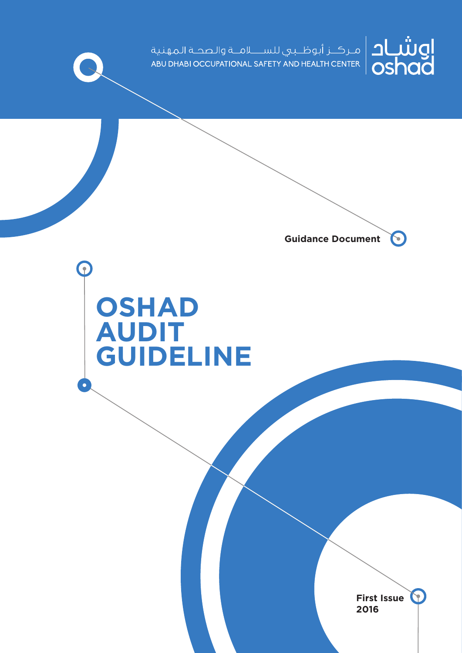او السلك عليه المهنية al<br>المسلك المسلكة والصحة المهنية ABU DHABI OCCUPATIONAL SAFETY AND HEALTH CENTER

**Guidance Document** $\bigodot$ 

**OSHAD AUDIT GUIDELINE**

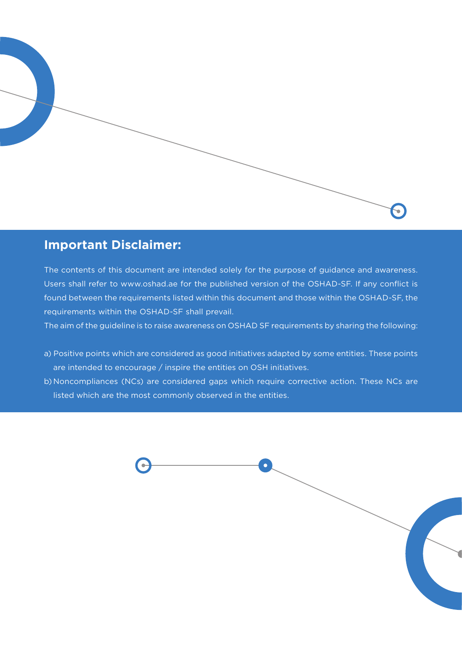

## **Important Disclaimer:**

The contents of this document are intended solely for the purpose of guidance and awareness. Users shall refer to www.oshad.ae for the published version of the OSHAD-SF. If any conflict is found between the requirements listed within this document and those within the OSHAD-SF, the requirements within the OSHAD-SF shall prevail.

The aim of the guideline is to raise awareness on OSHAD SF requirements by sharing the following:

- a) Positive points which are considered as good initiatives adapted by some entities. These points are intended to encourage / inspire the entities on OSH initiatives.
- b) Noncompliances (NCs) are considered gaps which require corrective action. These NCs are listed which are the most commonly observed in the entities.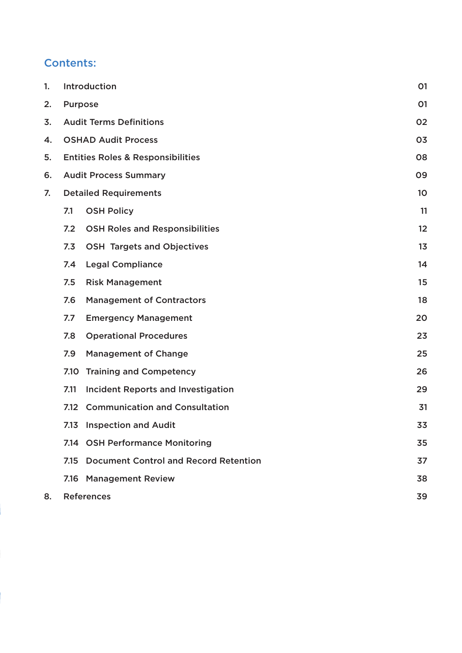## Contents:

| 1. |                                  | Introduction                                 | 01 |  |
|----|----------------------------------|----------------------------------------------|----|--|
| 2. | <b>Purpose</b>                   |                                              | 01 |  |
| 3. |                                  | <b>Audit Terms Definitions</b>               | 02 |  |
| 4. |                                  | <b>OSHAD Audit Process</b>                   | 03 |  |
| 5. |                                  | <b>Entities Roles &amp; Responsibilities</b> | 08 |  |
| 6. |                                  | <b>Audit Process Summary</b>                 | 09 |  |
| 7. |                                  | <b>Detailed Requirements</b>                 | 10 |  |
|    | 7.1                              | <b>OSH Policy</b>                            | 11 |  |
|    | 7.2                              | <b>OSH Roles and Responsibilities</b>        | 12 |  |
|    | 7.3                              | <b>OSH Targets and Objectives</b>            | 13 |  |
|    | 7.4                              | <b>Legal Compliance</b>                      | 14 |  |
|    | 7.5                              | <b>Risk Management</b>                       | 15 |  |
|    | 7.6                              | <b>Management of Contractors</b>             | 18 |  |
|    | 7.7                              | <b>Emergency Management</b>                  | 20 |  |
|    | 7.8                              | <b>Operational Procedures</b>                | 23 |  |
|    | 7.9                              | <b>Management of Change</b>                  | 25 |  |
|    | 7.10                             | <b>Training and Competency</b>               | 26 |  |
|    | 7.11                             | <b>Incident Reports and Investigation</b>    | 29 |  |
|    | 7.12                             | <b>Communication and Consultation</b>        | 31 |  |
|    | 7.13                             | <b>Inspection and Audit</b>                  | 33 |  |
|    |                                  | 7.14 OSH Performance Monitoring              | 35 |  |
|    | 7.15                             | <b>Document Control and Record Retention</b> | 37 |  |
|    | 7.16<br><b>Management Review</b> |                                              |    |  |
| 8. |                                  | <b>References</b>                            | 39 |  |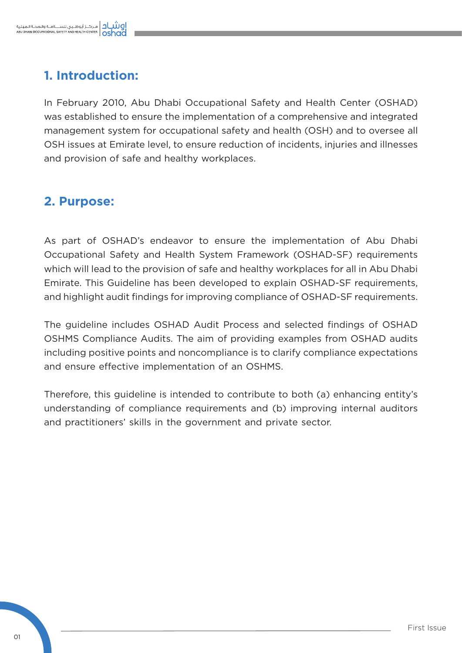## **1. Introduction:**

In February 2010, Abu Dhabi Occupational Safety and Health Center (OSHAD) was established to ensure the implementation of a comprehensive and integrated management system for occupational safety and health (OSH) and to oversee all OSH issues at Emirate level, to ensure reduction of incidents, injuries and illnesses and provision of safe and healthy workplaces.

## **2. Purpose:**

As part of OSHAD's endeavor to ensure the implementation of Abu Dhabi Occupational Safety and Health System Framework (OSHAD-SF) requirements which will lead to the provision of safe and healthy workplaces for all in Abu Dhabi Emirate. This Guideline has been developed to explain OSHAD-SF requirements, and highlight audit findings for improving compliance of OSHAD-SF requirements.

The guideline includes OSHAD Audit Process and selected findings of OSHAD OSHMS Compliance Audits. The aim of providing examples from OSHAD audits including positive points and noncompliance is to clarify compliance expectations and ensure effective implementation of an OSHMS.

Therefore, this guideline is intended to contribute to both (a) enhancing entity's understanding of compliance requirements and (b) improving internal auditors and practitioners' skills in the government and private sector.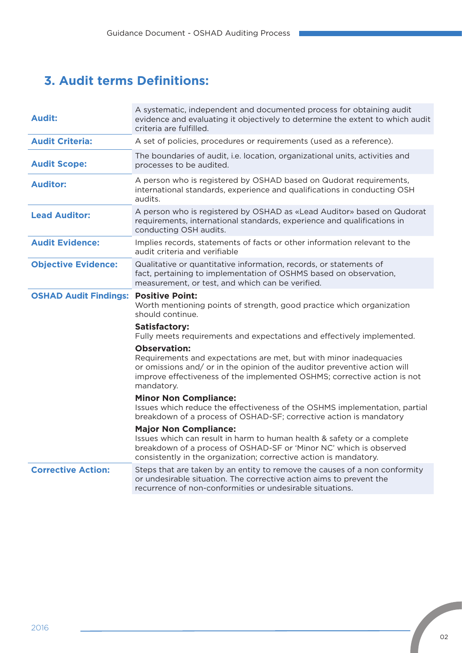## **3. Audit terms Definitions:**

| <b>Audit:</b>                | A systematic, independent and documented process for obtaining audit<br>evidence and evaluating it objectively to determine the extent to which audit<br>criteria are fulfilled.                                                                                 |  |  |  |
|------------------------------|------------------------------------------------------------------------------------------------------------------------------------------------------------------------------------------------------------------------------------------------------------------|--|--|--|
| <b>Audit Criteria:</b>       | A set of policies, procedures or requirements (used as a reference).                                                                                                                                                                                             |  |  |  |
| <b>Audit Scope:</b>          | The boundaries of audit, i.e. location, organizational units, activities and<br>processes to be audited.                                                                                                                                                         |  |  |  |
| <b>Auditor:</b>              | A person who is registered by OSHAD based on Qudorat requirements,<br>international standards, experience and qualifications in conducting OSH<br>audits.                                                                                                        |  |  |  |
| <b>Lead Auditor:</b>         | A person who is registered by OSHAD as «Lead Auditor» based on Qudorat<br>requirements, international standards, experience and qualifications in<br>conducting OSH audits.                                                                                      |  |  |  |
| <b>Audit Evidence:</b>       | Implies records, statements of facts or other information relevant to the<br>audit criteria and verifiable                                                                                                                                                       |  |  |  |
| <b>Objective Evidence:</b>   | Qualitative or quantitative information, records, or statements of<br>fact, pertaining to implementation of OSHMS based on observation,<br>measurement, or test, and which can be verified.                                                                      |  |  |  |
| <b>OSHAD Audit Findings:</b> | <b>Positive Point:</b><br>Worth mentioning points of strength, good practice which organization<br>should continue.                                                                                                                                              |  |  |  |
|                              | <b>Satisfactory:</b><br>Fully meets requirements and expectations and effectively implemented.                                                                                                                                                                   |  |  |  |
|                              | <b>Observation:</b><br>Requirements and expectations are met, but with minor inadequacies<br>or omissions and/ or in the opinion of the auditor preventive action will<br>improve effectiveness of the implemented OSHMS; corrective action is not<br>mandatory. |  |  |  |
|                              | <b>Minor Non Compliance:</b><br>Issues which reduce the effectiveness of the OSHMS implementation, partial<br>breakdown of a process of OSHAD-SF; corrective action is mandatory                                                                                 |  |  |  |
|                              | <b>Major Non Compliance:</b><br>Issues which can result in harm to human health & safety or a complete<br>breakdown of a process of OSHAD-SF or 'Minor NC' which is observed<br>consistently in the organization; corrective action is mandatory.                |  |  |  |
| <b>Corrective Action:</b>    | Steps that are taken by an entity to remove the causes of a non conformity<br>or undesirable situation. The corrective action aims to prevent the<br>recurrence of non-conformities or undesirable situations.                                                   |  |  |  |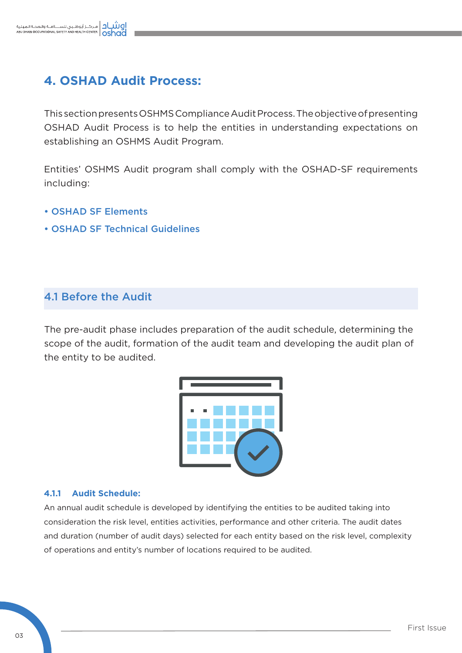## **4. OSHAD Audit Process:**

This section presents OSHMS Compliance Audit Process. The objective of presenting OSHAD Audit Process is to help the entities in understanding expectations on establishing an OSHMS Audit Program.

Entities' OSHMS Audit program shall comply with the OSHAD-SF requirements including:

- OSHAD SF Elements
- OSHAD SF Technical Guidelines

### 4.1 Before the Audit

The pre-audit phase includes preparation of the audit schedule, determining the scope of the audit, formation of the audit team and developing the audit plan of the entity to be audited.



#### **4.1.1 Audit Schedule:**

An annual audit schedule is developed by identifying the entities to be audited taking into consideration the risk level, entities activities, performance and other criteria. The audit dates and duration (number of audit days) selected for each entity based on the risk level, complexity of operations and entity's number of locations required to be audited.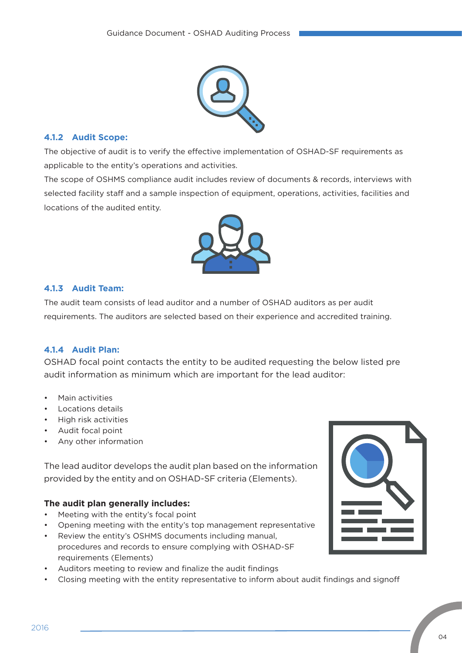

#### **4.1.2 Audit Scope:**

The objective of audit is to verify the effective implementation of OSHAD-SF requirements as applicable to the entity's operations and activities.

The scope of OSHMS compliance audit includes review of documents & records, interviews with selected facility staff and a sample inspection of equipment, operations, activities, facilities and locations of the audited entity.



#### **4.1.3 Audit Team:**

The audit team consists of lead auditor and a number of OSHAD auditors as per audit requirements. The auditors are selected based on their experience and accredited training.

#### **4.1.4 Audit Plan:**

OSHAD focal point contacts the entity to be audited requesting the below listed pre audit information as minimum which are important for the lead auditor:

- Main activities
- Locations details
- High risk activities
- Audit focal point
- Any other information

The lead auditor develops the audit plan based on the information provided by the entity and on OSHAD-SF criteria (Elements).

#### **The audit plan generally includes:**

- Meeting with the entity's focal point
- Opening meeting with the entity's top management representative
- Review the entity's OSHMS documents including manual, procedures and records to ensure complying with OSHAD-SF requirements (Elements)
- Auditors meeting to review and finalize the audit findings
- Closing meeting with the entity representative to inform about audit findings and signoff

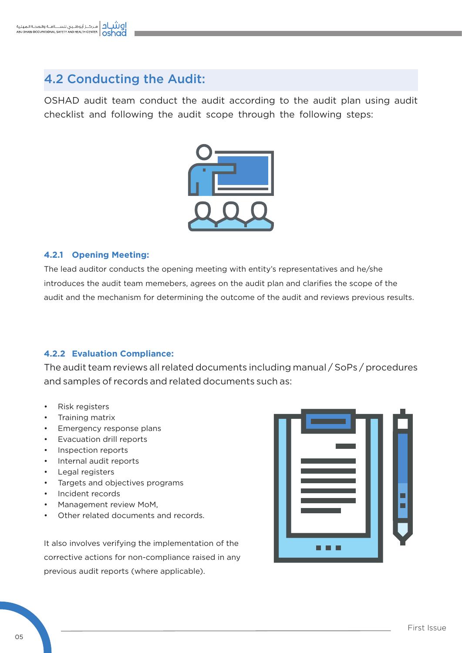## 4.2 Conducting the Audit:

OSHAD audit team conduct the audit according to the audit plan using audit checklist and following the audit scope through the following steps:



#### **4.2.1 Opening Meeting:**

The lead auditor conducts the opening meeting with entity's representatives and he/she introduces the audit team memebers, agrees on the audit plan and clarifies the scope of the audit and the mechanism for determining the outcome of the audit and reviews previous results.

#### **4.2.2 Evaluation Compliance:**

The audit team reviews all related documents including manual / SoPs / procedures and samples of records and related documents such as:

- Risk registers
- Training matrix
- Emergency response plans
- Evacuation drill reports
- Inspection reports
- Internal audit reports
- Legal registers
- Targets and objectives programs
- Incident records
- Management review MoM,
- Other related documents and records.

It also involves verifying the implementation of the corrective actions for non-compliance raised in any previous audit reports (where applicable).

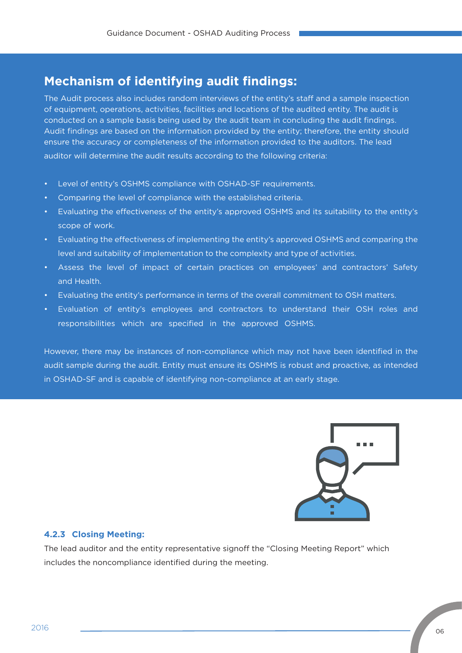## **Mechanism of identifying audit findings:**

The Audit process also includes random interviews of the entity's staff and a sample inspection of equipment, operations, activities, facilities and locations of the audited entity. The audit is conducted on a sample basis being used by the audit team in concluding the audit findings. Audit findings are based on the information provided by the entity; therefore, the entity should ensure the accuracy or completeness of the information provided to the auditors. The lead auditor will determine the audit results according to the following criteria:

- Level of entity's OSHMS compliance with OSHAD-SF requirements.
- Comparing the level of compliance with the established criteria.
- Evaluating the effectiveness of the entity's approved OSHMS and its suitability to the entity's scope of work.
- Evaluating the effectiveness of implementing the entity's approved OSHMS and comparing the level and suitability of implementation to the complexity and type of activities.
- Assess the level of impact of certain practices on employees' and contractors' Safety and Health.
- Evaluating the entity's performance in terms of the overall commitment to OSH matters.
- Evaluation of entity's employees and contractors to understand their OSH roles and responsibilities which are specified in the approved OSHMS.

However, there may be instances of non-compliance which may not have been identified in the audit sample during the audit. Entity must ensure its OSHMS is robust and proactive, as intended in OSHAD-SF and is capable of identifying non-compliance at an early stage.



#### **4.2.3 Closing Meeting:**

The lead auditor and the entity representative signoff the "Closing Meeting Report" which includes the noncompliance identified during the meeting.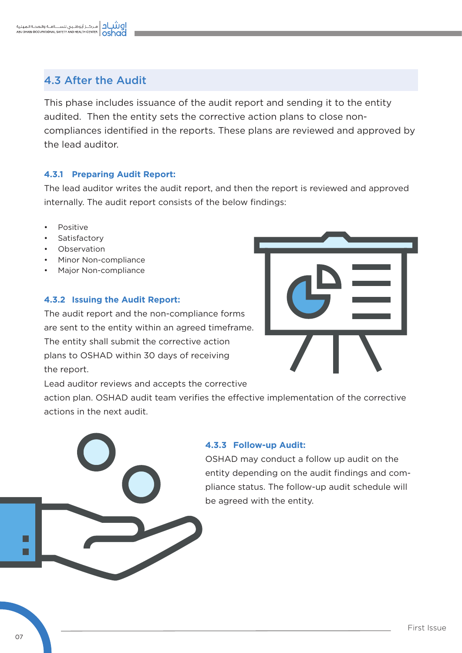## 4.3 After the Audit

This phase includes issuance of the audit report and sending it to the entity audited. Then the entity sets the corrective action plans to close noncompliances identified in the reports. These plans are reviewed and approved by the lead auditor.

#### **4.3.1 Preparing Audit Report:**

The lead auditor writes the audit report, and then the report is reviewed and approved internally. The audit report consists of the below findings:

- Positive
- **Satisfactory**
- Observation
- Minor Non-compliance
- Major Non-compliance

#### **4.3.2 Issuing the Audit Report:**

The audit report and the non-compliance forms are sent to the entity within an agreed timeframe. The entity shall submit the corrective action plans to OSHAD within 30 days of receiving the report.



Lead auditor reviews and accepts the corrective

action plan. OSHAD audit team verifies the effective implementation of the corrective actions in the next audit.



#### **4.3.3 Follow-up Audit:**

OSHAD may conduct a follow up audit on the entity depending on the audit findings and compliance status. The follow-up audit schedule will be agreed with the entity.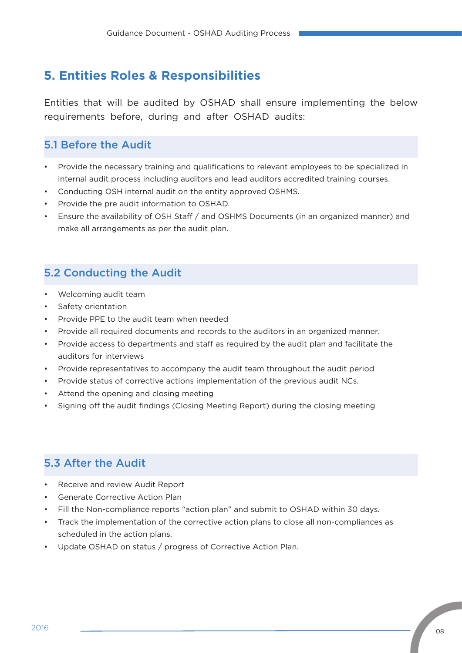## **5. Entities Roles & Responsibilities**

Entities that will be audited by OSHAD shall ensure implementing the below requirements before, during and after OSHAD audits:

### 5.1 Before the Audit

- Provide the necessary training and qualifications to relevant employees to be specialized in internal audit process including auditors and lead auditors accredited training courses.
- Conducting OSH internal audit on the entity approved OSHMS.
- Provide the pre audit information to OSHAD.
- Ensure the availability of OSH Staff / and OSHMS Documents (in an organized manner) and make all arrangements as per the audit plan.

### 5.2 Conducting the Audit

- Welcoming audit team
- Safety orientation
- Provide PPE to the audit team when needed
- Provide all required documents and records to the auditors in an organized manner.
- Provide access to departments and staff as required by the audit plan and facilitate the auditors for interviews
- Provide representatives to accompany the audit team throughout the audit period
- Provide status of corrective actions implementation of the previous audit NCs.
- Attend the opening and closing meeting
- Signing off the audit findings (Closing Meeting Report) during the closing meeting

### 5.3 After the Audit

- Receive and review Audit Report
- Generate Corrective Action Plan
- Fill the Non-compliance reports "action plan" and submit to OSHAD within 30 days.
- Track the implementation of the corrective action plans to close all non-compliances as scheduled in the action plans.
- Update OSHAD on status / progress of Corrective Action Plan.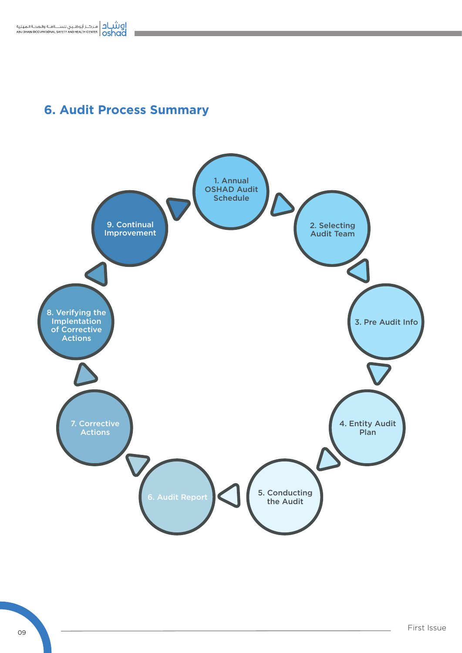## **6. Audit Process Summary**

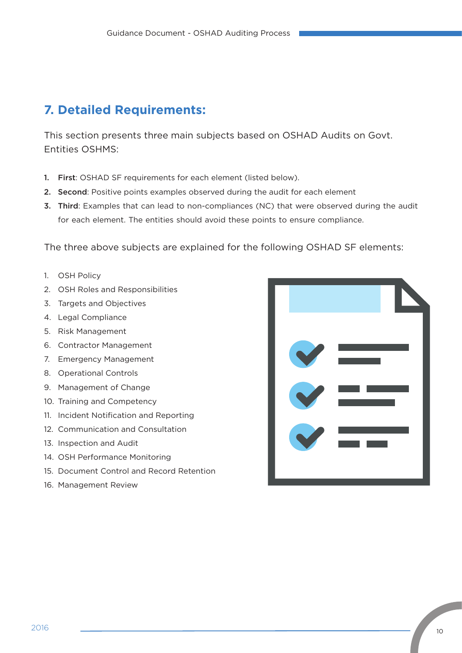## **7. Detailed Requirements:**

This section presents three main subjects based on OSHAD Audits on Govt. Entities OSHMS:

- 1. First: OSHAD SF requirements for each element (listed below).
- 2. Second: Positive points examples observed during the audit for each element
- 3. Third: Examples that can lead to non-compliances (NC) that were observed during the audit for each element. The entities should avoid these points to ensure compliance.

The three above subjects are explained for the following OSHAD SF elements:

- 1. OSH Policy
- 2. OSH Roles and Responsibilities
- 3. Targets and Objectives
- 4. Legal Compliance
- 5. Risk Management
- 6. Contractor Management
- 7. Emergency Management
- 8. Operational Controls
- 9. Management of Change
- 10. Training and Competency
- 11. Incident Notification and Reporting
- 12. Communication and Consultation
- 13. Inspection and Audit
- 14. OSH Performance Monitoring
- 15. Document Control and Record Retention
- 16. Management Review

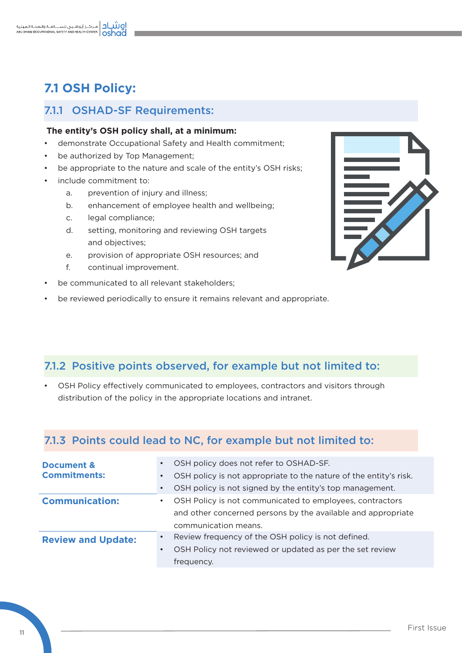# **7.1 OSH Policy:**

## 7.1.1 OSHAD-SF Requirements:

### **The entity's OSH policy shall, at a minimum:**

- demonstrate Occupational Safety and Health commitment;
- be authorized by Top Management;
- be appropriate to the nature and scale of the entity's OSH risks;
- include commitment to:
	- a. prevention of injury and illness;
	- b. enhancement of employee health and wellbeing;
	- c. legal compliance;
	- d. setting, monitoring and reviewing OSH targets and objectives;
	- e. provision of appropriate OSH resources; and
	- f. continual improvement.
- be communicated to all relevant stakeholders;
- be reviewed periodically to ensure it remains relevant and appropriate.



### 7.1.2 Positive points observed, for example but not limited to:

• OSH Policy effectively communicated to employees, contractors and visitors through distribution of the policy in the appropriate locations and intranet.

| <b>Document &amp;</b>     |           | OSH policy does not refer to OSHAD-SF.                            |
|---------------------------|-----------|-------------------------------------------------------------------|
| <b>Commitments:</b>       | $\bullet$ | OSH policy is not appropriate to the nature of the entity's risk. |
|                           |           | OSH policy is not signed by the entity's top management.          |
| <b>Communication:</b>     |           | OSH Policy is not communicated to employees, contractors          |
|                           |           | and other concerned persons by the available and appropriate      |
|                           |           | communication means.                                              |
| <b>Review and Update:</b> |           | Review frequency of the OSH policy is not defined.                |
|                           |           | OSH Policy not reviewed or updated as per the set review          |
|                           |           | frequency.                                                        |

## 7.1.3 Points could lead to NC, for example but not limited to: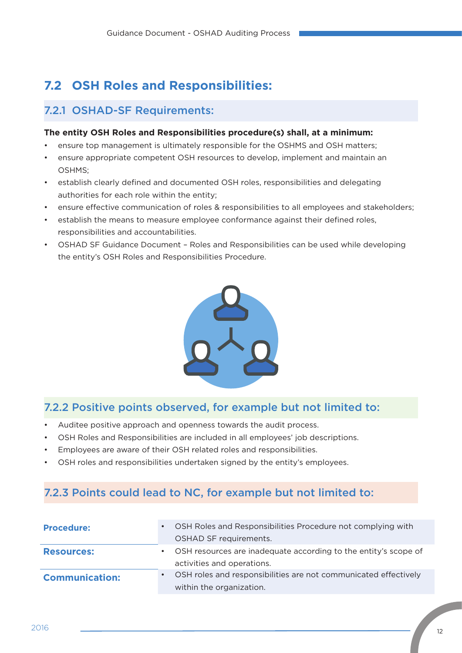## **7.2 OSH Roles and Responsibilities:**

### 7.2.1 OSHAD-SF Requirements:

#### **The entity OSH Roles and Responsibilities procedure(s) shall, at a minimum:**

- ensure top management is ultimately responsible for the OSHMS and OSH matters;
- ensure appropriate competent OSH resources to develop, implement and maintain an OSHMS;
- establish clearly defined and documented OSH roles, responsibilities and delegating authorities for each role within the entity;
- ensure effective communication of roles & responsibilities to all employees and stakeholders;
- establish the means to measure employee conformance against their defined roles, responsibilities and accountabilities.
- OSHAD SF Guidance Document Roles and Responsibilities can be used while developing the entity's OSH Roles and Responsibilities Procedure.



## 7.2.2 Positive points observed, for example but not limited to:

- Auditee positive approach and openness towards the audit process.
- OSH Roles and Responsibilities are included in all employees' job descriptions.
- Employees are aware of their OSH related roles and responsibilities.
- OSH roles and responsibilities undertaken signed by the entity's employees.

### 7.2.3 Points could lead to NC, for example but not limited to:

| <b>Procedure:</b>     |           | • OSH Roles and Responsibilities Procedure not complying with     |
|-----------------------|-----------|-------------------------------------------------------------------|
|                       |           | OSHAD SF requirements.                                            |
| <b>Resources:</b>     | $\bullet$ | OSH resources are inadequate according to the entity's scope of   |
|                       |           | activities and operations.                                        |
| <b>Communication:</b> |           | • OSH roles and responsibilities are not communicated effectively |
|                       |           | within the organization.                                          |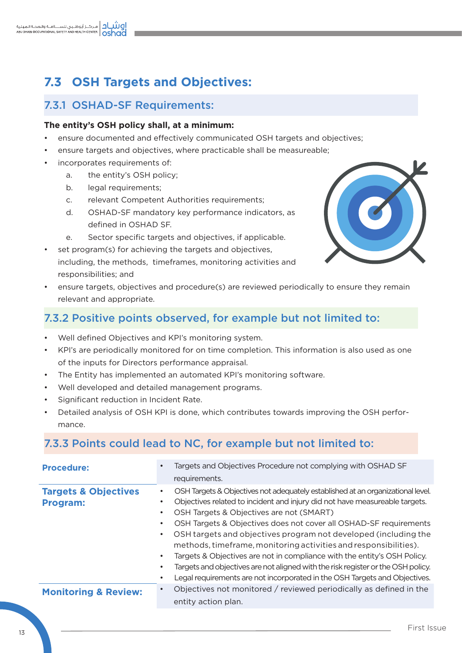## **7.3 OSH Targets and Objectives:**

### 7.3.1 OSHAD-SF Requirements:

#### **The entity's OSH policy shall, at a minimum:**

- ensure documented and effectively communicated OSH targets and objectives;
- ensure targets and objectives, where practicable shall be measureable;
- incorporates requirements of:
	- a. the entity's OSH policy;
	- b. legal requirements;
	- c. relevant Competent Authorities requirements;
	- d. OSHAD-SF mandatory key performance indicators, as defined in OSHAD SF.
	- e. Sector specific targets and objectives, if applicable.
- set program(s) for achieving the targets and objectives, including, the methods, timeframes, monitoring activities and responsibilities; and



• ensure targets, objectives and procedure(s) are reviewed periodically to ensure they remain relevant and appropriate.

### 7.3.2 Positive points observed, for example but not limited to:

- Well defined Objectives and KPI's monitoring system.
- KPI's are periodically monitored for on time completion. This information is also used as one of the inputs for Directors performance appraisal.
- The Entity has implemented an automated KPI's monitoring software.
- Well developed and detailed management programs.
- Significant reduction in Incident Rate.
- Detailed analysis of OSH KPI is done, which contributes towards improving the OSH performance.

### 7.3.3 Points could lead to NC, for example but not limited to:

| <b>Procedure:</b>                                  | Targets and Objectives Procedure not complying with OSHAD SF<br>requirements.                                                                                                                                                                                                                                                                                                                                                                                                                                                                                                                                                                                        |
|----------------------------------------------------|----------------------------------------------------------------------------------------------------------------------------------------------------------------------------------------------------------------------------------------------------------------------------------------------------------------------------------------------------------------------------------------------------------------------------------------------------------------------------------------------------------------------------------------------------------------------------------------------------------------------------------------------------------------------|
| <b>Targets &amp; Objectives</b><br><b>Program:</b> | OSH Targets & Objectives not adequately established at an organizational level.<br>Objectives related to incident and injury did not have measureable targets.<br>OSH Targets & Objectives are not (SMART)<br>OSH Targets & Objectives does not cover all OSHAD-SF requirements<br>OSH targets and objectives program not developed (including the<br>methods, timeframe, monitoring activities and responsibilities).<br>Targets & Objectives are not in compliance with the entity's OSH Policy.<br>Targets and objectives are not aligned with the risk register or the OSH policy.<br>Legal requirements are not incorporated in the OSH Targets and Objectives. |
| <b>Monitoring &amp; Review:</b>                    | Objectives not monitored / reviewed periodically as defined in the<br>$\bullet$<br>entity action plan.                                                                                                                                                                                                                                                                                                                                                                                                                                                                                                                                                               |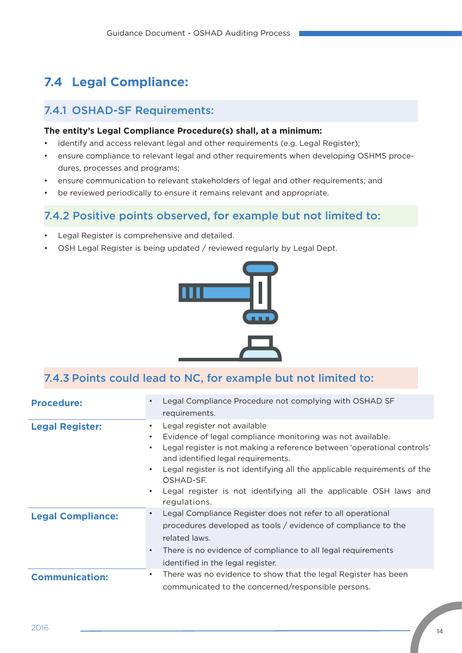## **7.4 Legal Compliance:**

## 7.4.1 OSHAD-SF Requirements:

#### **The entity's Legal Compliance Procedure(s) shall, at a minimum:**

- identify and access relevant legal and other requirements (e.g. Legal Register);
- ensure compliance to relevant legal and other requirements when developing OSHMS procedures, processes and programs;
- ensure communication to relevant stakeholders of legal and other requirements; and
- be reviewed periodically to ensure it remains relevant and appropriate.

### 7.4.2 Positive points observed, for example but not limited to:

- Legal Register is comprehensive and detailed.
- OSH Legal Register is being updated / reviewed regularly by Legal Dept.



### 7.4.3 Points could lead to NC, for example but not limited to:

| <b>Procedure:</b>        | Legal Compliance Procedure not complying with OSHAD SF<br>$\bullet$<br>requirements.                                                                                                                                                                                                                                                                                                                                                                       |
|--------------------------|------------------------------------------------------------------------------------------------------------------------------------------------------------------------------------------------------------------------------------------------------------------------------------------------------------------------------------------------------------------------------------------------------------------------------------------------------------|
| <b>Legal Register:</b>   | Legal register not available<br>$\bullet$<br>Evidence of legal compliance monitoring was not available.<br>$\bullet$<br>Legal register is not making a reference between 'operational controls'<br>$\bullet$<br>and identified legal requirements.<br>Legal register is not identifying all the applicable requirements of the<br>$\bullet$<br>OSHAD-SF.<br>Legal register is not identifying all the applicable OSH laws and<br>$\bullet$<br>regulations. |
| <b>Legal Compliance:</b> | Legal Compliance Register does not refer to all operational<br>$\bullet$<br>procedures developed as tools / evidence of compliance to the<br>related laws.<br>There is no evidence of compliance to all legal requirements<br>$\bullet$<br>identified in the legal register.                                                                                                                                                                               |
| <b>Communication:</b>    | There was no evidence to show that the legal Register has been<br>$\bullet$<br>communicated to the concerned/responsible persons.                                                                                                                                                                                                                                                                                                                          |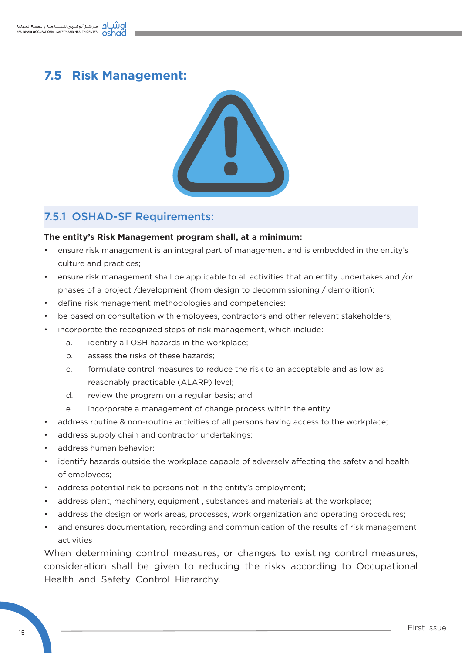## **7.5 Risk Management:**



### 7.5.1 OSHAD-SF Requirements:

#### **The entity's Risk Management program shall, at a minimum:**

- ensure risk management is an integral part of management and is embedded in the entity's culture and practices;
- ensure risk management shall be applicable to all activities that an entity undertakes and /or phases of a project /development (from design to decommissioning / demolition);
- define risk management methodologies and competencies;
- be based on consultation with employees, contractors and other relevant stakeholders;
- incorporate the recognized steps of risk management, which include:
	- a. identify all OSH hazards in the workplace;
	- b. assess the risks of these hazards;
	- c. formulate control measures to reduce the risk to an acceptable and as low as reasonably practicable (ALARP) level;
	- d. review the program on a regular basis; and
	- e. incorporate a management of change process within the entity.
- address routine & non-routine activities of all persons having access to the workplace;
- address supply chain and contractor undertakings;
- address human behavior;
- identify hazards outside the workplace capable of adversely affecting the safety and health of employees;
- address potential risk to persons not in the entity's employment;
- address plant, machinery, equipment , substances and materials at the workplace;
- address the design or work areas, processes, work organization and operating procedures;
- and ensures documentation, recording and communication of the results of risk management activities

When determining control measures, or changes to existing control measures, consideration shall be given to reducing the risks according to Occupational Health and Safety Control Hierarchy.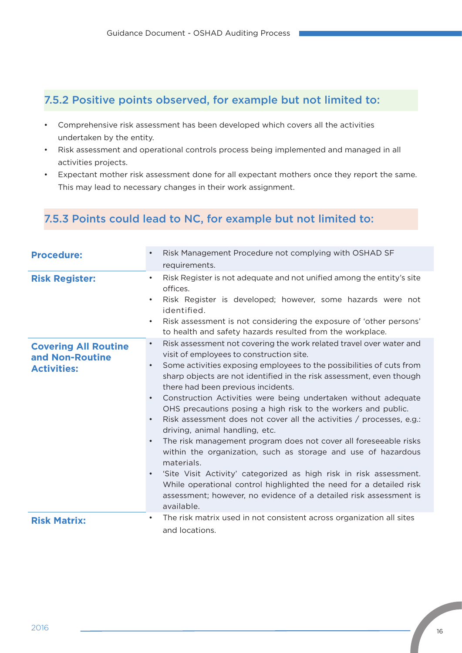## 7.5.2 Positive points observed, for example but not limited to:

- Comprehensive risk assessment has been developed which covers all the activities undertaken by the entity.
- Risk assessment and operational controls process being implemented and managed in all activities projects.
- Expectant mother risk assessment done for all expectant mothers once they report the same. This may lead to necessary changes in their work assignment.

## 7.5.3 Points could lead to NC, for example but not limited to:

| <b>Procedure:</b>                                                    | Risk Management Procedure not complying with OSHAD SF                                                                                                                                                                                                                                                                                                                                                                                                                                                                                                                                                                                                                                                                                                                                                                                                                                                                                                                                                              |
|----------------------------------------------------------------------|--------------------------------------------------------------------------------------------------------------------------------------------------------------------------------------------------------------------------------------------------------------------------------------------------------------------------------------------------------------------------------------------------------------------------------------------------------------------------------------------------------------------------------------------------------------------------------------------------------------------------------------------------------------------------------------------------------------------------------------------------------------------------------------------------------------------------------------------------------------------------------------------------------------------------------------------------------------------------------------------------------------------|
|                                                                      | requirements.                                                                                                                                                                                                                                                                                                                                                                                                                                                                                                                                                                                                                                                                                                                                                                                                                                                                                                                                                                                                      |
| <b>Risk Register:</b>                                                | Risk Register is not adequate and not unified among the entity's site<br>$\bullet$<br>offices.<br>Risk Register is developed; however, some hazards were not<br>$\bullet$<br>identified.<br>Risk assessment is not considering the exposure of 'other persons'<br>to health and safety hazards resulted from the workplace.                                                                                                                                                                                                                                                                                                                                                                                                                                                                                                                                                                                                                                                                                        |
| <b>Covering All Routine</b><br>and Non-Routine<br><b>Activities:</b> | Risk assessment not covering the work related travel over water and<br>$\bullet$<br>visit of employees to construction site.<br>Some activities exposing employees to the possibilities of cuts from<br>$\bullet$<br>sharp objects are not identified in the risk assessment, even though<br>there had been previous incidents.<br>Construction Activities were being undertaken without adequate<br>$\bullet$<br>OHS precautions posing a high risk to the workers and public.<br>Risk assessment does not cover all the activities / processes, e.g.:<br>$\bullet$<br>driving, animal handling, etc.<br>The risk management program does not cover all foreseeable risks<br>$\bullet$<br>within the organization, such as storage and use of hazardous<br>materials.<br>'Site Visit Activity' categorized as high risk in risk assessment.<br>$\bullet$<br>While operational control highlighted the need for a detailed risk<br>assessment; however, no evidence of a detailed risk assessment is<br>available. |
| <b>Risk Matrix:</b>                                                  | The risk matrix used in not consistent across organization all sites<br>$\bullet$<br>and locations.                                                                                                                                                                                                                                                                                                                                                                                                                                                                                                                                                                                                                                                                                                                                                                                                                                                                                                                |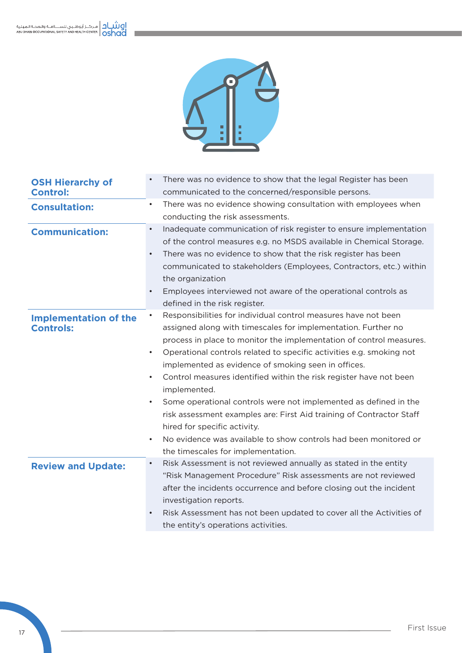

| <b>OSH Hierarchy of</b><br><b>Control:</b> |           | There was no evidence to show that the legal Register has been       |
|--------------------------------------------|-----------|----------------------------------------------------------------------|
|                                            |           | communicated to the concerned/responsible persons.                   |
| <b>Consultation:</b>                       | $\bullet$ | There was no evidence showing consultation with employees when       |
|                                            |           | conducting the risk assessments.                                     |
| <b>Communication:</b>                      | $\bullet$ | Inadequate communication of risk register to ensure implementation   |
|                                            |           | of the control measures e.g. no MSDS available in Chemical Storage.  |
|                                            | $\bullet$ | There was no evidence to show that the risk register has been        |
|                                            |           | communicated to stakeholders (Employees, Contractors, etc.) within   |
|                                            |           | the organization                                                     |
|                                            | $\bullet$ | Employees interviewed not aware of the operational controls as       |
|                                            |           | defined in the risk register.                                        |
| <b>Implementation of the</b>               | $\bullet$ | Responsibilities for individual control measures have not been       |
| <b>Controls:</b>                           |           | assigned along with timescales for implementation. Further no        |
|                                            |           | process in place to monitor the implementation of control measures.  |
|                                            | $\bullet$ | Operational controls related to specific activities e.g. smoking not |
|                                            |           | implemented as evidence of smoking seen in offices.                  |
|                                            | $\bullet$ | Control measures identified within the risk register have not been   |
|                                            |           | implemented.                                                         |
|                                            |           | Some operational controls were not implemented as defined in the     |
|                                            |           | risk assessment examples are: First Aid training of Contractor Staff |
|                                            |           | hired for specific activity.                                         |
|                                            | $\bullet$ | No evidence was available to show controls had been monitored or     |
|                                            |           | the timescales for implementation.                                   |
| <b>Review and Update:</b>                  | $\bullet$ | Risk Assessment is not reviewed annually as stated in the entity     |
|                                            |           | "Risk Management Procedure" Risk assessments are not reviewed        |
|                                            |           | after the incidents occurrence and before closing out the incident   |
|                                            |           | investigation reports.                                               |
|                                            |           | Risk Assessment has not been updated to cover all the Activities of  |
|                                            |           | the entity's operations activities.                                  |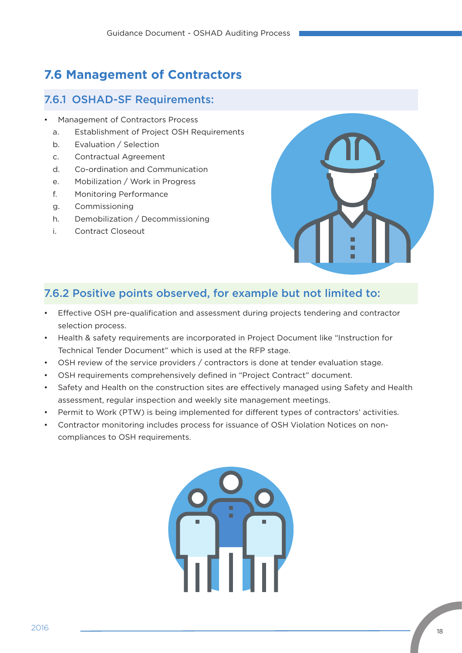## **7.6 Management of Contractors**

## 7.6.1 OSHAD-SF Requirements:

- Management of Contractors Process
	- a. Establishment of Project OSH Requirements
	- b. Evaluation / Selection
	- c. Contractual Agreement
	- d. Co-ordination and Communication
	- e. Mobilization / Work in Progress
	- f. Monitoring Performance
	- g. Commissioning
	- h. Demobilization / Decommissioning
	- i. Contract Closeout



## 7.6.2 Positive points observed, for example but not limited to:

- Effective OSH pre-qualification and assessment during projects tendering and contractor selection process.
- Health & safety requirements are incorporated in Project Document like "Instruction for Technical Tender Document" which is used at the RFP stage.
- OSH review of the service providers / contractors is done at tender evaluation stage.
- OSH requirements comprehensively defined in "Project Contract" document.
- Safety and Health on the construction sites are effectively managed using Safety and Health assessment, regular inspection and weekly site management meetings.
- Permit to Work (PTW) is being implemented for different types of contractors' activities.
- Contractor monitoring includes process for issuance of OSH Violation Notices on noncompliances to OSH requirements.

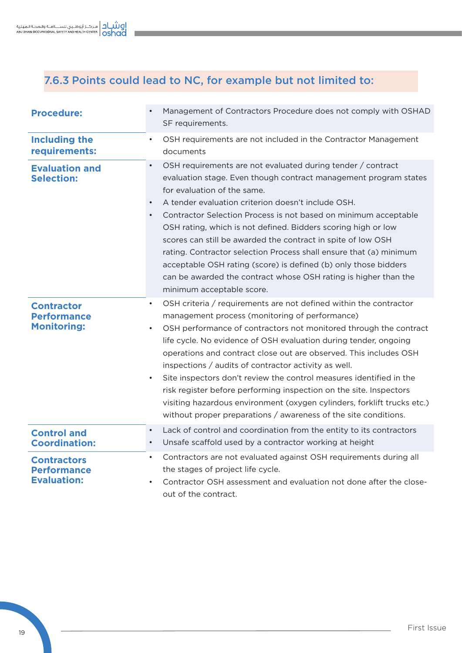## 7.6.3 Points could lead to NC, for example but not limited to:

| <b>Procedure:</b>                                              |                                     | Management of Contractors Procedure does not comply with OSHAD<br>SF requirements.                                                                                                                                                                                                                                                                                                                                                                                                                                                                                                                                                                                                   |
|----------------------------------------------------------------|-------------------------------------|--------------------------------------------------------------------------------------------------------------------------------------------------------------------------------------------------------------------------------------------------------------------------------------------------------------------------------------------------------------------------------------------------------------------------------------------------------------------------------------------------------------------------------------------------------------------------------------------------------------------------------------------------------------------------------------|
| <b>Including the</b><br>requirements:                          | $\bullet$                           | OSH requirements are not included in the Contractor Management<br>documents                                                                                                                                                                                                                                                                                                                                                                                                                                                                                                                                                                                                          |
| <b>Evaluation and</b><br><b>Selection:</b>                     | $\bullet$<br>$\bullet$<br>$\bullet$ | OSH requirements are not evaluated during tender / contract<br>evaluation stage. Even though contract management program states<br>for evaluation of the same.<br>A tender evaluation criterion doesn't include OSH.<br>Contractor Selection Process is not based on minimum acceptable<br>OSH rating, which is not defined. Bidders scoring high or low<br>scores can still be awarded the contract in spite of low OSH<br>rating. Contractor selection Process shall ensure that (a) minimum<br>acceptable OSH rating (score) is defined (b) only those bidders<br>can be awarded the contract whose OSH rating is higher than the<br>minimum acceptable score.                    |
| <b>Contractor</b><br><b>Performance</b><br><b>Monitoring:</b>  | $\bullet$<br>$\bullet$<br>$\bullet$ | OSH criteria / requirements are not defined within the contractor<br>management process (monitoring of performance)<br>OSH performance of contractors not monitored through the contract<br>life cycle. No evidence of OSH evaluation during tender, ongoing<br>operations and contract close out are observed. This includes OSH<br>inspections / audits of contractor activity as well.<br>Site inspectors don't review the control measures identified in the<br>risk register before performing inspection on the site. Inspectors<br>visiting hazardous environment (oxygen cylinders, forklift trucks etc.)<br>without proper preparations / awareness of the site conditions. |
| <b>Control and</b><br><b>Coordination:</b>                     | $\bullet$<br>$\bullet$              | Lack of control and coordination from the entity to its contractors<br>Unsafe scaffold used by a contractor working at height                                                                                                                                                                                                                                                                                                                                                                                                                                                                                                                                                        |
| <b>Contractors</b><br><b>Performance</b><br><b>Evaluation:</b> | $\bullet$<br>$\bullet$              | Contractors are not evaluated against OSH requirements during all<br>the stages of project life cycle.<br>Contractor OSH assessment and evaluation not done after the close-<br>out of the contract.                                                                                                                                                                                                                                                                                                                                                                                                                                                                                 |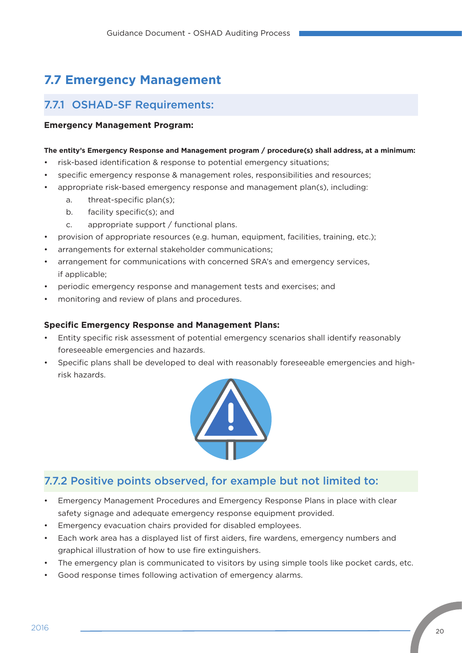## **7.7 Emergency Management**

### 7.7.1 OSHAD-SF Requirements:

#### **Emergency Management Program:**

#### **The entity's Emergency Response and Management program / procedure(s) shall address, at a minimum:**

- risk-based identification & response to potential emergency situations;
- specific emergency response & management roles, responsibilities and resources;
- appropriate risk-based emergency response and management plan(s), including:
	- a. threat-specific plan(s);
	- b. facility specific(s); and
	- c. appropriate support / functional plans.
- provision of appropriate resources (e.g. human, equipment, facilities, training, etc.);
- arrangements for external stakeholder communications;
- arrangement for communications with concerned SRA's and emergency services, if applicable;
- periodic emergency response and management tests and exercises; and
- monitoring and review of plans and procedures.

#### **Specific Emergency Response and Management Plans:**

- Entity specific risk assessment of potential emergency scenarios shall identify reasonably foreseeable emergencies and hazards.
- Specific plans shall be developed to deal with reasonably foreseeable emergencies and highrisk hazards.



### 7.7.2 Positive points observed, for example but not limited to:

- Emergency Management Procedures and Emergency Response Plans in place with clear safety signage and adequate emergency response equipment provided.
- Emergency evacuation chairs provided for disabled employees.
- Each work area has a displayed list of first aiders, fire wardens, emergency numbers and graphical illustration of how to use fire extinguishers.
- The emergency plan is communicated to visitors by using simple tools like pocket cards, etc.
- Good response times following activation of emergency alarms.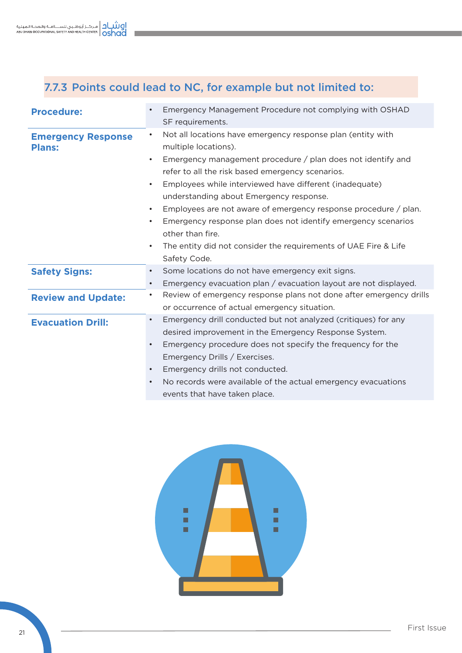## 7.7.3 Points could lead to NC, for example but not limited to:

| <b>Procedure:</b>                          |           | Emergency Management Procedure not complying with OSHAD<br>SF requirements.                                     |
|--------------------------------------------|-----------|-----------------------------------------------------------------------------------------------------------------|
| <b>Emergency Response</b><br><b>Plans:</b> |           | Not all locations have emergency response plan (entity with<br>multiple locations).                             |
|                                            | $\bullet$ | Emergency management procedure / plan does not identify and<br>refer to all the risk based emergency scenarios. |
|                                            | $\bullet$ | Employees while interviewed have different (inadequate)                                                         |
|                                            |           | understanding about Emergency response.                                                                         |
|                                            | $\bullet$ | Employees are not aware of emergency response procedure / plan.                                                 |
|                                            | $\bullet$ | Emergency response plan does not identify emergency scenarios                                                   |
|                                            |           | other than fire.                                                                                                |
|                                            | $\bullet$ | The entity did not consider the requirements of UAE Fire & Life                                                 |
|                                            |           | Safety Code.                                                                                                    |
| <b>Safety Signs:</b>                       | $\bullet$ | Some locations do not have emergency exit signs.                                                                |
|                                            | $\bullet$ | Emergency evacuation plan / evacuation layout are not displayed.                                                |
| <b>Review and Update:</b>                  | $\bullet$ | Review of emergency response plans not done after emergency drills                                              |
|                                            |           | or occurrence of actual emergency situation.                                                                    |
| <b>Evacuation Drill:</b>                   | $\bullet$ | Emergency drill conducted but not analyzed (critiques) for any                                                  |
|                                            |           | desired improvement in the Emergency Response System.                                                           |
|                                            | $\bullet$ | Emergency procedure does not specify the frequency for the                                                      |
|                                            |           | Emergency Drills / Exercises.                                                                                   |
|                                            | $\bullet$ | Emergency drills not conducted.                                                                                 |
|                                            | $\bullet$ | No records were available of the actual emergency evacuations                                                   |
|                                            |           |                                                                                                                 |

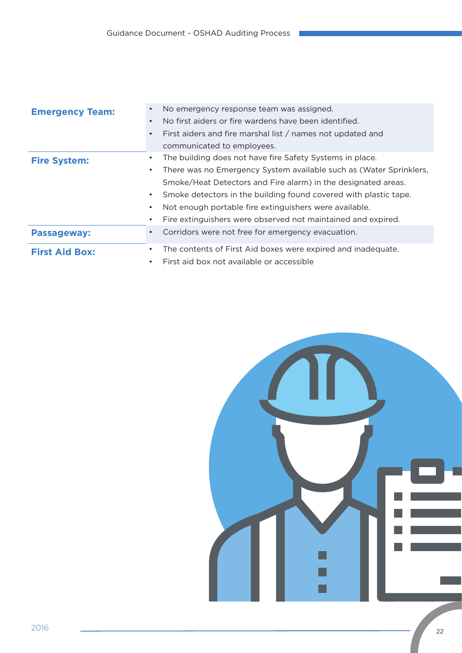| <b>Emergency Team:</b> |           | No emergency response team was assigned.                           |
|------------------------|-----------|--------------------------------------------------------------------|
|                        | $\bullet$ | No first aiders or fire wardens have been identified.              |
|                        | $\bullet$ | First aiders and fire marshal list / names not updated and         |
|                        |           | communicated to employees.                                         |
| <b>Fire System:</b>    |           | The building does not have fire Safety Systems in place.           |
|                        | $\bullet$ | There was no Emergency System available such as (Water Sprinklers, |
|                        |           | Smoke/Heat Detectors and Fire alarm) in the designated areas.      |
|                        | $\bullet$ | Smoke detectors in the building found covered with plastic tape.   |
|                        | $\bullet$ | Not enough portable fire extinguishers were available.             |
|                        | $\bullet$ | Fire extinguishers were observed not maintained and expired.       |
| Passageway:            | $\bullet$ | Corridors were not free for emergency evacuation.                  |
| <b>First Aid Box:</b>  |           | The contents of First Aid boxes were expired and inadequate.       |
|                        | $\bullet$ | First aid box not available or accessible                          |

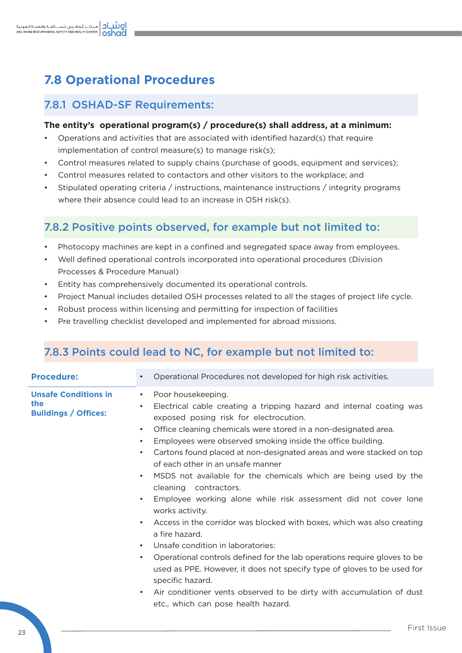## **7.8 Operational Procedures**

### 7.8.1 OSHAD-SF Requirements:

#### **The entity's operational program(s) / procedure(s) shall address, at a minimum:**

- Operations and activities that are associated with identified hazard(s) that require implementation of control measure(s) to manage risk(s);
- Control measures related to supply chains (purchase of goods, equipment and services);
- Control measures related to contactors and other visitors to the workplace; and
- Stipulated operating criteria / instructions, maintenance instructions / integrity programs where their absence could lead to an increase in OSH risk(s).

### 7.8.2 Positive points observed, for example but not limited to:

- Photocopy machines are kept in a confined and segregated space away from employees.
- Well defined operational controls incorporated into operational procedures (Division Processes & Procedure Manual)
- Entity has comprehensively documented its operational controls.
- Project Manual includes detailed OSH processes related to all the stages of project life cycle.
- Robust process within licensing and permitting for inspection of facilities
- Pre travelling checklist developed and implemented for abroad missions.

| <b>Procedure:</b>                                                 | Operational Procedures not developed for high risk activities.<br>$\bullet$                                                                                                                                                                                                                                                                                                                                                                                                                                                                                                                                                                                                                                                                                                                                                                                                                                                                                                                                                                                                                                                                 |
|-------------------------------------------------------------------|---------------------------------------------------------------------------------------------------------------------------------------------------------------------------------------------------------------------------------------------------------------------------------------------------------------------------------------------------------------------------------------------------------------------------------------------------------------------------------------------------------------------------------------------------------------------------------------------------------------------------------------------------------------------------------------------------------------------------------------------------------------------------------------------------------------------------------------------------------------------------------------------------------------------------------------------------------------------------------------------------------------------------------------------------------------------------------------------------------------------------------------------|
| <b>Unsafe Conditions in</b><br>the<br><b>Buildings / Offices:</b> | Poor housekeeping.<br>$\bullet$<br>Electrical cable creating a tripping hazard and internal coating was<br>$\bullet$<br>exposed posing risk for electrocution.<br>Office cleaning chemicals were stored in a non-designated area.<br>٠<br>Employees were observed smoking inside the office building.<br>$\bullet$<br>Cartons found placed at non-designated areas and were stacked on top<br>$\bullet$<br>of each other in an unsafe manner<br>MSDS not available for the chemicals which are being used by the<br>$\bullet$<br>cleaning<br>contractors.<br>Employee working alone while risk assessment did not cover lone<br>$\bullet$<br>works activity.<br>Access in the corridor was blocked with boxes, which was also creating<br>$\bullet$<br>a fire hazard.<br>Unsafe condition in laboratories:<br>$\bullet$<br>Operational controls defined for the lab operations require gloves to be<br>$\bullet$<br>used as PPE. However, it does not specify type of gloves to be used for<br>specific hazard.<br>Air conditioner vents observed to be dirty with accumulation of dust<br>$\bullet$<br>etc., which can pose health hazard. |

### 7.8.3 Points could lead to NC, for example but not limited to: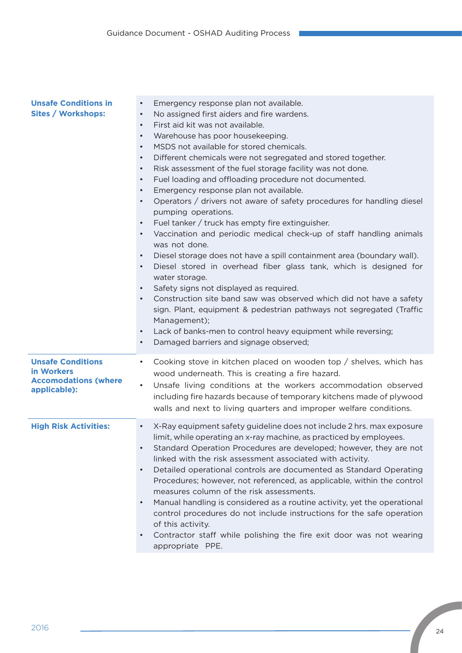| <b>Unsafe Conditions in</b><br><b>Sites / Workshops:</b>                              | Emergency response plan not available.<br>$\bullet$<br>No assigned first aiders and fire wardens.<br>$\bullet$<br>First aid kit was not available.<br>$\bullet$<br>Warehouse has poor housekeeping.<br>$\bullet$<br>MSDS not available for stored chemicals.<br>$\bullet$<br>Different chemicals were not segregated and stored together.<br>$\bullet$<br>Risk assessment of the fuel storage facility was not done.<br>$\bullet$<br>Fuel loading and offloading procedure not documented.<br>$\bullet$<br>Emergency response plan not available.<br>$\bullet$<br>Operators / drivers not aware of safety procedures for handling diesel<br>$\bullet$<br>pumping operations.<br>Fuel tanker / truck has empty fire extinguisher.<br>Vaccination and periodic medical check-up of staff handling animals<br>$\bullet$<br>was not done.<br>Diesel storage does not have a spill containment area (boundary wall).<br>Diesel stored in overhead fiber glass tank, which is designed for<br>$\bullet$<br>water storage.<br>Safety signs not displayed as required.<br>Construction site band saw was observed which did not have a safety<br>$\bullet$<br>sign. Plant, equipment & pedestrian pathways not segregated (Traffic<br>Management);<br>Lack of banks-men to control heavy equipment while reversing;<br>$\bullet$<br>Damaged barriers and signage observed;<br>$\bullet$ |
|---------------------------------------------------------------------------------------|---------------------------------------------------------------------------------------------------------------------------------------------------------------------------------------------------------------------------------------------------------------------------------------------------------------------------------------------------------------------------------------------------------------------------------------------------------------------------------------------------------------------------------------------------------------------------------------------------------------------------------------------------------------------------------------------------------------------------------------------------------------------------------------------------------------------------------------------------------------------------------------------------------------------------------------------------------------------------------------------------------------------------------------------------------------------------------------------------------------------------------------------------------------------------------------------------------------------------------------------------------------------------------------------------------------------------------------------------------------------------------|
| <b>Unsafe Conditions</b><br>in Workers<br><b>Accomodations (where</b><br>applicable): | Cooking stove in kitchen placed on wooden top / shelves, which has<br>$\bullet$<br>wood underneath. This is creating a fire hazard.<br>Unsafe living conditions at the workers accommodation observed<br>$\bullet$<br>including fire hazards because of temporary kitchens made of plywood<br>walls and next to living quarters and improper welfare conditions.                                                                                                                                                                                                                                                                                                                                                                                                                                                                                                                                                                                                                                                                                                                                                                                                                                                                                                                                                                                                                |
| <b>High Risk Activities:</b>                                                          | X-Ray equipment safety guideline does not include 2 hrs. max exposure<br>$\bullet$<br>limit, while operating an x-ray machine, as practiced by employees.<br>Standard Operation Procedures are developed; however, they are not<br>linked with the risk assessment associated with activity.<br>Detailed operational controls are documented as Standard Operating<br>$\bullet$<br>Procedures; however, not referenced, as applicable, within the control<br>measures column of the risk assessments.<br>Manual handling is considered as a routine activity, yet the operational<br>$\bullet$<br>control procedures do not include instructions for the safe operation<br>of this activity.<br>Contractor staff while polishing the fire exit door was not wearing<br>appropriate PPE.                                                                                                                                                                                                                                                                                                                                                                                                                                                                                                                                                                                         |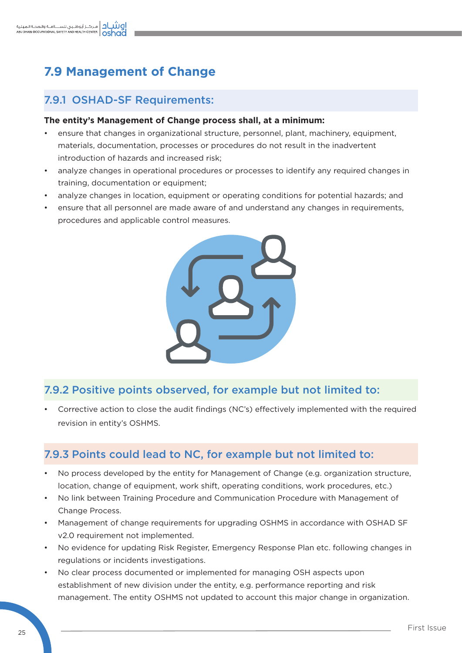## **7.9 Management of Change**

## 7.9.1 OSHAD-SF Requirements:

#### **The entity's Management of Change process shall, at a minimum:**

- ensure that changes in organizational structure, personnel, plant, machinery, equipment, materials, documentation, processes or procedures do not result in the inadvertent introduction of hazards and increased risk;
- analyze changes in operational procedures or processes to identify any required changes in training, documentation or equipment;
- analyze changes in location, equipment or operating conditions for potential hazards; and
- ensure that all personnel are made aware of and understand any changes in requirements, procedures and applicable control measures.



### 7.9.2 Positive points observed, for example but not limited to:

• Corrective action to close the audit findings (NC's) effectively implemented with the required revision in entity's OSHMS.

### 7.9.3 Points could lead to NC, for example but not limited to:

- No process developed by the entity for Management of Change (e.g. organization structure, location, change of equipment, work shift, operating conditions, work procedures, etc.)
- No link between Training Procedure and Communication Procedure with Management of Change Process.
- Management of change requirements for upgrading OSHMS in accordance with OSHAD SF v2.0 requirement not implemented.
- No evidence for updating Risk Register, Emergency Response Plan etc. following changes in regulations or incidents investigations.
- No clear process documented or implemented for managing OSH aspects upon establishment of new division under the entity, e.g. performance reporting and risk management. The entity OSHMS not updated to account this major change in organization.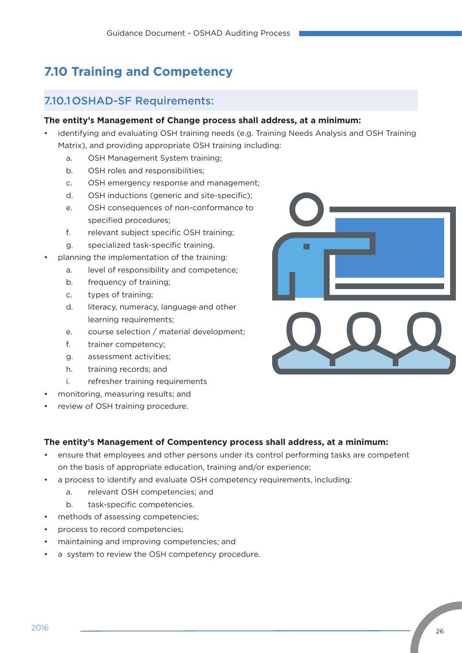## **7.10 Training and Competency**

## 7.10.1OSHAD-SF Requirements:

#### **The entity's Management of Change process shall address, at a minimum:**

- identifying and evaluating OSH training needs (e.g. Training Needs Analysis and OSH Training Matrix), and providing appropriate OSH training including:
	- a. OSH Management System training;
	- b. OSH roles and responsibilities;
	- c. OSH emergency response and management;
	- d. OSH inductions (generic and site-specific);
	- e. OSH consequences of non-conformance to specified procedures;
	- f. relevant subject specific OSH training;
	- g. specialized task-specific training.
- planning the implementation of the training:
	- a. level of responsibility and competence;
	- b. frequency of training;
	- c. types of training;
	- d. literacy, numeracy, language and other learning requirements;
	- e. course selection / material development;
	- f. trainer competency;
	- g. assessment activities;
	- h. training records; and
	- i. refresher training requirements
- monitoring, measuring results; and
- review of OSH training procedure.

#### **The entity's Management of Compentency process shall address, at a minimum:**

- ensure that employees and other persons under its control performing tasks are competent on the basis of appropriate education, training and/or experience;
- a process to identify and evaluate OSH competency requirements, including:
	- a. relevant OSH competencies; and
	- b. task-specific competencies.
- methods of assessing competencies;
- process to record competencies;
- maintaining and improving competencies; and
- a system to review the OSH competency procedure.

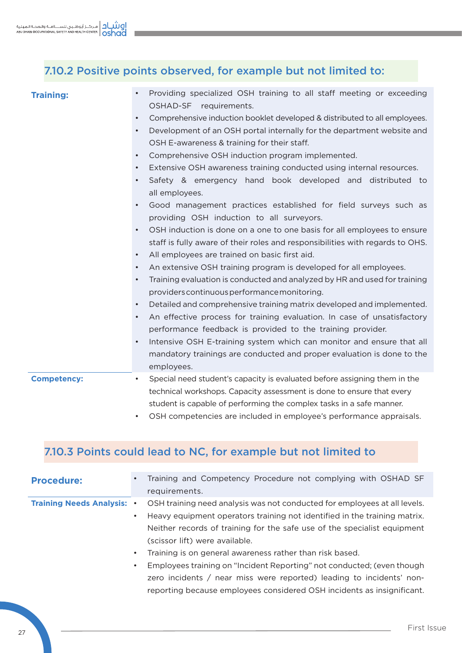### 7.10.2 Positive points observed, for example but not limited to:

**Training:** • Providing specialized OSH training to all staff meeting or exceeding OSHAD-SF requirements.

- Comprehensive induction booklet developed & distributed to all employees.
- Development of an OSH portal internally for the department website and OSH E-awareness & training for their staff.
- Comprehensive OSH induction program implemented.
- Extensive OSH awareness training conducted using internal resources.
- Safety & emergency hand book developed and distributed to all employees.
- Good management practices established for field surveys such as providing OSH induction to all surveyors.
- OSH induction is done on a one to one basis for all employees to ensure staff is fully aware of their roles and responsibilities with regards to OHS.
- All employees are trained on basic first aid.
- An extensive OSH training program is developed for all employees.
- Training evaluation is conducted and analyzed by HR and used for training providers continuous performance monitoring.
- Detailed and comprehensive training matrix developed and implemented.
- An effective process for training evaluation. In case of unsatisfactory performance feedback is provided to the training provider.
- Intensive OSH E-training system which can monitor and ensure that all mandatory trainings are conducted and proper evaluation is done to the employees.
- 
- **Competency:** Special need student's capacity is evaluated before assigning them in the technical workshops. Capacity assessment is done to ensure that every student is capable of performing the complex tasks in a safe manner.
	- OSH competencies are included in employee's performance appraisals.

### 7.10.3 Points could lead to NC, for example but not limited to

| <b>Procedure:</b>                 | $\bullet$ | Training and Competency Procedure not complying with OSHAD SF             |
|-----------------------------------|-----------|---------------------------------------------------------------------------|
|                                   |           | requirements.                                                             |
| <b>Training Needs Analysis: •</b> |           | OSH training need analysis was not conducted for employees at all levels. |
|                                   | $\bullet$ | Heavy equipment operators training not identified in the training matrix. |
|                                   |           | Neither records of training for the safe use of the specialist equipment  |
|                                   |           | (scissor lift) were available.                                            |
|                                   | $\bullet$ | Training is on general awareness rather than risk based.                  |
|                                   | $\bullet$ | Employees training on "Incident Reporting" not conducted; (even though    |
|                                   |           | zero incidents / near miss were reported) leading to incidents' non-      |
|                                   |           | reporting because employees considered OSH incidents as insignificant.    |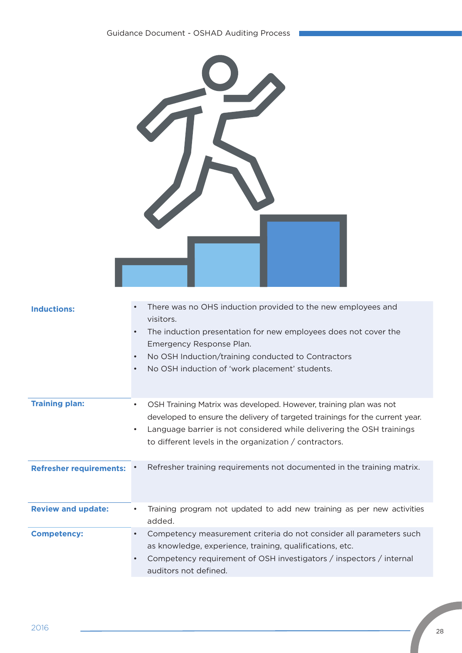

| <b>Inductions:</b>             | There was no OHS induction provided to the new employees and<br>visitors.<br>The induction presentation for new employees does not cover the<br>$\bullet$<br>Emergency Response Plan.<br>No OSH Induction/training conducted to Contractors<br>$\bullet$<br>No OSH induction of 'work placement' students.<br>$\bullet$ |
|--------------------------------|-------------------------------------------------------------------------------------------------------------------------------------------------------------------------------------------------------------------------------------------------------------------------------------------------------------------------|
| <b>Training plan:</b>          | OSH Training Matrix was developed. However, training plan was not<br>$\bullet$<br>developed to ensure the delivery of targeted trainings for the current year.<br>Language barrier is not considered while delivering the OSH trainings<br>$\bullet$<br>to different levels in the organization / contractors.          |
| <b>Refresher requirements:</b> | Refresher training requirements not documented in the training matrix.                                                                                                                                                                                                                                                  |
| <b>Review and update:</b>      | Training program not updated to add new training as per new activities<br>٠<br>added.                                                                                                                                                                                                                                   |
| <b>Competency:</b>             | Competency measurement criteria do not consider all parameters such<br>$\bullet$<br>as knowledge, experience, training, qualifications, etc.<br>Competency requirement of OSH investigators / inspectors / internal<br>$\bullet$<br>auditors not defined.                                                               |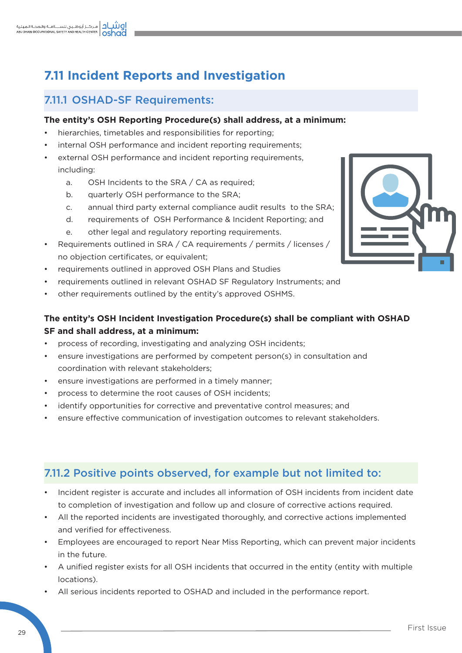## **7.11 Incident Reports and Investigation**

## 7.11.1 OSHAD-SF Requirements:

#### **The entity's OSH Reporting Procedure(s) shall address, at a minimum:**

- hierarchies, timetables and responsibilities for reporting;
- internal OSH performance and incident reporting requirements;
- external OSH performance and incident reporting requirements, including:
	- a. OSH Incidents to the SRA / CA as required;
	- b. quarterly OSH performance to the SRA;
	- c. annual third party external compliance audit results to the SRA;
	- d. requirements of OSH Performance & Incident Reporting; and
	- e. other legal and regulatory reporting requirements.
- Requirements outlined in SRA / CA requirements / permits / licenses / no objection certificates, or equivalent;
- requirements outlined in approved OSH Plans and Studies
- requirements outlined in relevant OSHAD SF Regulatory Instruments; and
- other requirements outlined by the entity's approved OSHMS.

### **The entity's OSH Incident Investigation Procedure(s) shall be compliant with OSHAD SF and shall address, at a minimum:**

- process of recording, investigating and analyzing OSH incidents;
- ensure investigations are performed by competent person(s) in consultation and coordination with relevant stakeholders;
- ensure investigations are performed in a timely manner;
- process to determine the root causes of OSH incidents;
- identify opportunities for corrective and preventative control measures; and
- ensure effective communication of investigation outcomes to relevant stakeholders.

### 7.11.2 Positive points observed, for example but not limited to:

- Incident register is accurate and includes all information of OSH incidents from incident date to completion of investigation and follow up and closure of corrective actions required.
- All the reported incidents are investigated thoroughly, and corrective actions implemented and verified for effectiveness.
- Employees are encouraged to report Near Miss Reporting, which can prevent major incidents in the future.
- A unified register exists for all OSH incidents that occurred in the entity (entity with multiple locations).
- All serious incidents reported to OSHAD and included in the performance report.

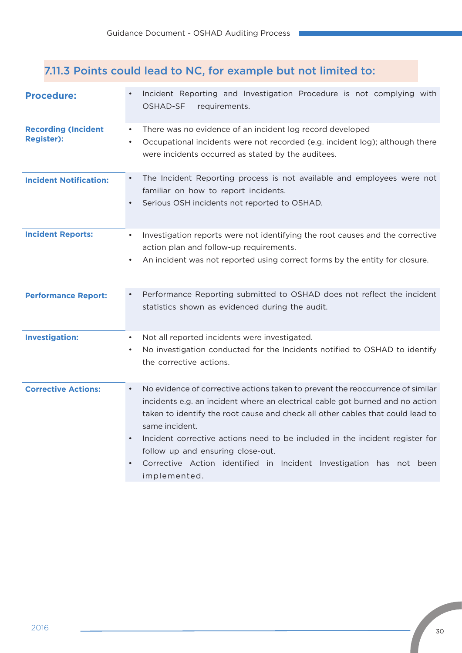## 7.11.3 Points could lead to NC, for example but not limited to:

| <b>Procedure:</b>                               | Incident Reporting and Investigation Procedure is not complying with<br>OSHAD-SF<br>requirements.                                                                                                                                                                                                                                                                                                                                                                                                                      |
|-------------------------------------------------|------------------------------------------------------------------------------------------------------------------------------------------------------------------------------------------------------------------------------------------------------------------------------------------------------------------------------------------------------------------------------------------------------------------------------------------------------------------------------------------------------------------------|
| <b>Recording (Incident</b><br><b>Register):</b> | There was no evidence of an incident log record developed<br>$\bullet$<br>Occupational incidents were not recorded (e.g. incident log); although there<br>$\bullet$<br>were incidents occurred as stated by the auditees.                                                                                                                                                                                                                                                                                              |
| <b>Incident Notification:</b>                   | The Incident Reporting process is not available and employees were not<br>$\bullet$<br>familiar on how to report incidents.<br>Serious OSH incidents not reported to OSHAD.<br>$\bullet$                                                                                                                                                                                                                                                                                                                               |
| <b>Incident Reports:</b>                        | Investigation reports were not identifying the root causes and the corrective<br>$\bullet$<br>action plan and follow-up requirements.<br>An incident was not reported using correct forms by the entity for closure.<br>$\bullet$                                                                                                                                                                                                                                                                                      |
| <b>Performance Report:</b>                      | Performance Reporting submitted to OSHAD does not reflect the incident<br>$\bullet$<br>statistics shown as evidenced during the audit.                                                                                                                                                                                                                                                                                                                                                                                 |
| <b>Investigation:</b>                           | Not all reported incidents were investigated.<br>$\bullet$<br>No investigation conducted for the Incidents notified to OSHAD to identify<br>$\bullet$<br>the corrective actions.                                                                                                                                                                                                                                                                                                                                       |
| <b>Corrective Actions:</b>                      | No evidence of corrective actions taken to prevent the reoccurrence of similar<br>$\bullet$<br>incidents e.g. an incident where an electrical cable got burned and no action<br>taken to identify the root cause and check all other cables that could lead to<br>same incident.<br>Incident corrective actions need to be included in the incident register for<br>$\bullet$<br>follow up and ensuring close-out.<br>Corrective Action identified in Incident Investigation has not been<br>$\bullet$<br>implemented. |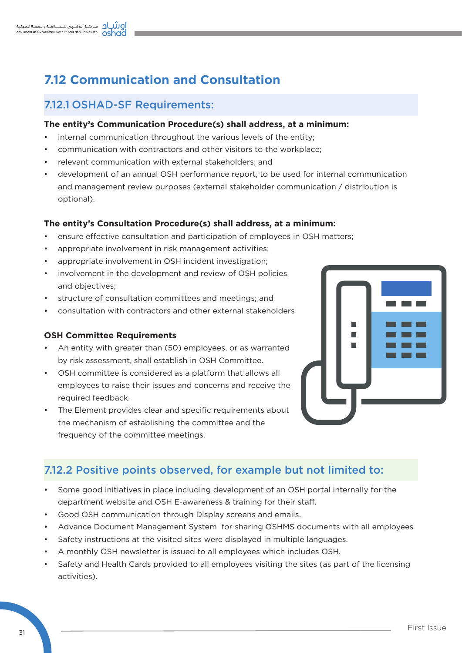## **7.12 Communication and Consultation**

### 7.12.1 OSHAD-SF Requirements:

#### **The entity's Communication Procedure(s) shall address, at a minimum:**

- internal communication throughout the various levels of the entity;
- communication with contractors and other visitors to the workplace;
- relevant communication with external stakeholders; and
- development of an annual OSH performance report, to be used for internal communication and management review purposes (external stakeholder communication / distribution is optional).

#### **The entity's Consultation Procedure(s) shall address, at a minimum:**

- ensure effective consultation and participation of employees in OSH matters;
- appropriate involvement in risk management activities;
- appropriate involvement in OSH incident investigation;
- involvement in the development and review of OSH policies and objectives;
- structure of consultation committees and meetings; and
- consultation with contractors and other external stakeholders

#### **OSH Committee Requirements**

- An entity with greater than (50) employees, or as warranted by risk assessment, shall establish in OSH Committee.
- OSH committee is considered as a platform that allows all employees to raise their issues and concerns and receive the required feedback.
- The Element provides clear and specific requirements about the mechanism of establishing the committee and the frequency of the committee meetings.



### 7.12.2 Positive points observed, for example but not limited to:

- Some good initiatives in place including development of an OSH portal internally for the department website and OSH E-awareness & training for their staff.
- Good OSH communication through Display screens and emails.
- Advance Document Management System for sharing OSHMS documents with all employees
- Safety instructions at the visited sites were displayed in multiple languages.
- A monthly OSH newsletter is issued to all employees which includes OSH.
- Safety and Health Cards provided to all employees visiting the sites (as part of the licensing activities).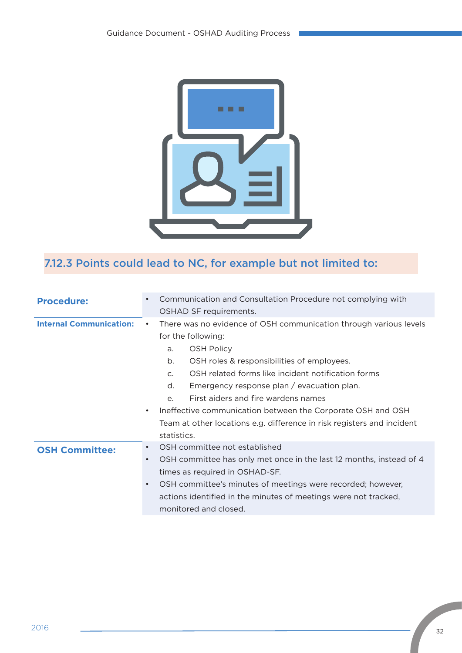

## 7.12.3 Points could lead to NC, for example but not limited to:

| <b>Procedure:</b>              |           | Communication and Consultation Procedure not complying with            |
|--------------------------------|-----------|------------------------------------------------------------------------|
|                                |           | OSHAD SF requirements.                                                 |
| <b>Internal Communication:</b> | $\bullet$ | There was no evidence of OSH communication through various levels      |
|                                |           | for the following:                                                     |
|                                |           | <b>OSH Policy</b><br>a.                                                |
|                                |           | OSH roles & responsibilities of employees.<br>b.                       |
|                                |           | OSH related forms like incident notification forms<br>$C_{1}$          |
|                                |           | Emergency response plan / evacuation plan.<br>d.                       |
|                                |           | First aiders and fire wardens names<br>е.                              |
|                                | $\bullet$ | Ineffective communication between the Corporate OSH and OSH            |
|                                |           | Team at other locations e.g. difference in risk registers and incident |
|                                |           | statistics.                                                            |
| <b>OSH Committee:</b>          | $\bullet$ | OSH committee not established                                          |
|                                | $\bullet$ | OSH committee has only met once in the last 12 months, instead of 4    |
|                                |           | times as required in OSHAD-SF.                                         |
|                                | $\bullet$ | OSH committee's minutes of meetings were recorded; however,            |
|                                |           | actions identified in the minutes of meetings were not tracked,        |
|                                |           | monitored and closed.                                                  |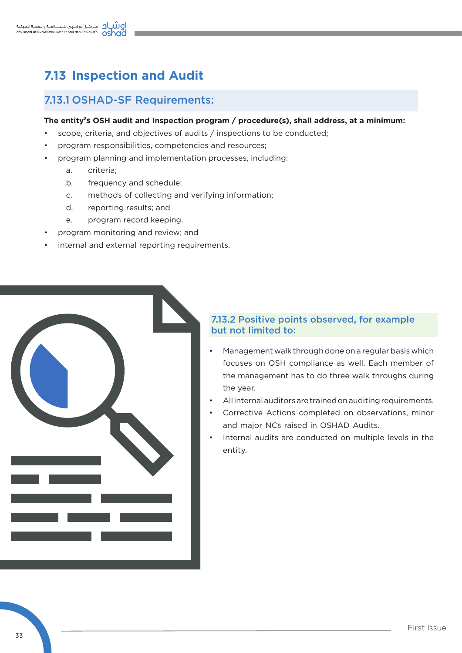## **7.13 Inspection and Audit**

## 7.13.1 OSHAD-SF Requirements:

#### **The entity's OSH audit and Inspection program / procedure(s), shall address, at a minimum:**

- scope, criteria, and objectives of audits / inspections to be conducted;
- program responsibilities, competencies and resources;
- program planning and implementation processes, including:
	- a. criteria;
	- b. frequency and schedule;
	- c. methods of collecting and verifying information;
	- d. reporting results; and
	- e. program record keeping.
- program monitoring and review; and
- internal and external reporting requirements.



### 7.13.2 Positive points observed, for example but not limited to:

- Management walk through done on a regular basis which focuses on OSH compliance as well. Each member of the management has to do three walk throughs during the year.
- All internal auditors are trained on auditing requirements.
- Corrective Actions completed on observations, minor and major NCs raised in OSHAD Audits.
- Internal audits are conducted on multiple levels in the entity.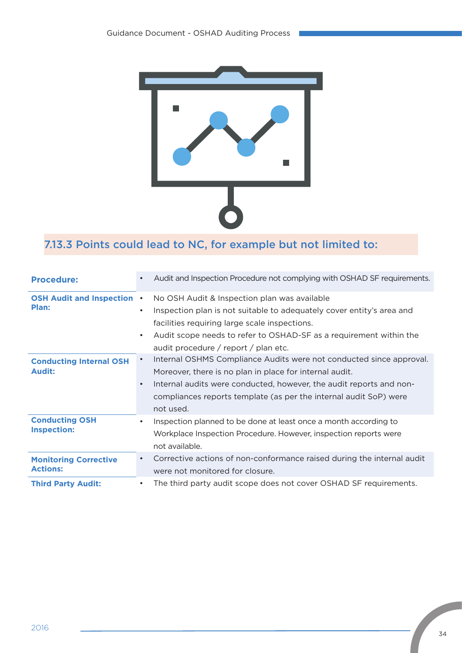

## 7.13.3 Points could lead to NC, for example but not limited to:

| <b>Procedure:</b>                               |                        | Audit and Inspection Procedure not complying with OSHAD SF requirements.                                                                                                                                                                                                                |
|-------------------------------------------------|------------------------|-----------------------------------------------------------------------------------------------------------------------------------------------------------------------------------------------------------------------------------------------------------------------------------------|
| <b>OSH Audit and Inspection •</b><br>Plan:      | $\bullet$<br>$\bullet$ | No OSH Audit & Inspection plan was available<br>Inspection plan is not suitable to adequately cover entity's area and<br>facilities requiring large scale inspections.<br>Audit scope needs to refer to OSHAD-SF as a requirement within the<br>audit procedure / report / plan etc.    |
| <b>Conducting Internal OSH</b><br><b>Audit:</b> | $\bullet$<br>$\bullet$ | Internal OSHMS Compliance Audits were not conducted since approval.<br>Moreover, there is no plan in place for internal audit.<br>Internal audits were conducted, however, the audit reports and non-<br>compliances reports template (as per the internal audit SoP) were<br>not used. |
| <b>Conducting OSH</b><br><b>Inspection:</b>     | $\bullet$              | Inspection planned to be done at least once a month according to<br>Workplace Inspection Procedure. However, inspection reports were<br>not available.                                                                                                                                  |
| <b>Monitoring Corrective</b><br><b>Actions:</b> | $\bullet$              | Corrective actions of non-conformance raised during the internal audit<br>were not monitored for closure.                                                                                                                                                                               |
| <b>Third Party Audit:</b>                       | $\bullet$              | The third party audit scope does not cover OSHAD SF requirements.                                                                                                                                                                                                                       |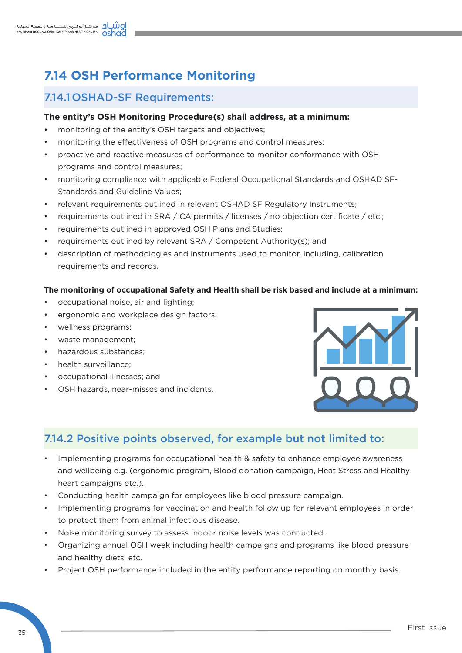## **7.14 OSH Performance Monitoring**

### 7.14.1 OSHAD-SF Requirements:

#### **The entity's OSH Monitoring Procedure(s) shall address, at a minimum:**

- monitoring of the entity's OSH targets and objectives;
- monitoring the effectiveness of OSH programs and control measures;
- proactive and reactive measures of performance to monitor conformance with OSH programs and control measures;
- monitoring compliance with applicable Federal Occupational Standards and OSHAD SF-Standards and Guideline Values;
- relevant requirements outlined in relevant OSHAD SF Regulatory Instruments;
- requirements outlined in SRA / CA permits / licenses / no objection certificate / etc.;
- requirements outlined in approved OSH Plans and Studies;
- requirements outlined by relevant SRA / Competent Authority(s); and
- description of methodologies and instruments used to monitor, including, calibration requirements and records.

#### **The monitoring of occupational Safety and Health shall be risk based and include at a minimum:**

- occupational noise, air and lighting;
- ergonomic and workplace design factors;
- wellness programs;
- waste management;
- hazardous substances;
- health surveillance;
- occupational illnesses; and
- OSH hazards, near-misses and incidents.



## 7.14.2 Positive points observed, for example but not limited to:

- Implementing programs for occupational health & safety to enhance employee awareness and wellbeing e.g. (ergonomic program, Blood donation campaign, Heat Stress and Healthy heart campaigns etc.).
- Conducting health campaign for employees like blood pressure campaign.
- Implementing programs for vaccination and health follow up for relevant employees in order to protect them from animal infectious disease.
- Noise monitoring survey to assess indoor noise levels was conducted.
- Organizing annual OSH week including health campaigns and programs like blood pressure and healthy diets, etc.
- Project OSH performance included in the entity performance reporting on monthly basis.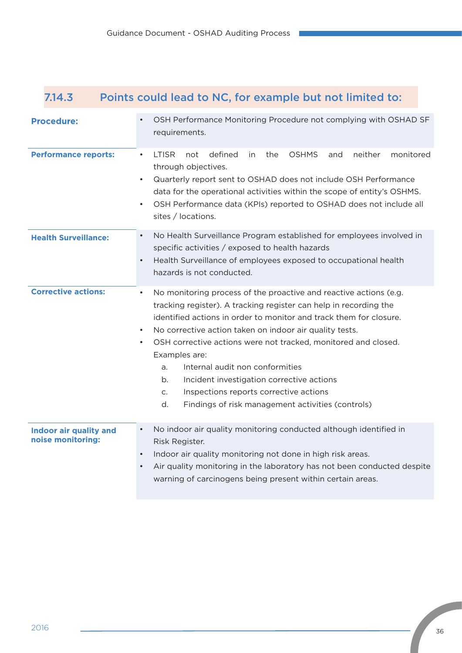| 7.14.3                                             | Points could lead to NC, for example but not limited to:                                                                                                                                                                                                                                                                                                                                                                                                                                                                                                                                                 |
|----------------------------------------------------|----------------------------------------------------------------------------------------------------------------------------------------------------------------------------------------------------------------------------------------------------------------------------------------------------------------------------------------------------------------------------------------------------------------------------------------------------------------------------------------------------------------------------------------------------------------------------------------------------------|
| <b>Procedure:</b>                                  | OSH Performance Monitoring Procedure not complying with OSHAD SF<br>$\bullet$<br>requirements.                                                                                                                                                                                                                                                                                                                                                                                                                                                                                                           |
| <b>Performance reports:</b>                        | <b>LTISR</b><br>defined<br>the<br><b>OSHMS</b><br>neither<br>monitored<br>not<br>in<br>and<br>$\bullet$<br>through objectives.<br>Quarterly report sent to OSHAD does not include OSH Performance<br>$\bullet$<br>data for the operational activities within the scope of entity's OSHMS.<br>OSH Performance data (KPIs) reported to OSHAD does not include all<br>$\bullet$<br>sites / locations.                                                                                                                                                                                                       |
| <b>Health Surveillance:</b>                        | No Health Surveillance Program established for employees involved in<br>$\bullet$<br>specific activities / exposed to health hazards<br>Health Surveillance of employees exposed to occupational health<br>$\bullet$<br>hazards is not conducted.                                                                                                                                                                                                                                                                                                                                                        |
| <b>Corrective actions:</b>                         | No monitoring process of the proactive and reactive actions (e.g.<br>$\bullet$<br>tracking register). A tracking register can help in recording the<br>identified actions in order to monitor and track them for closure.<br>No corrective action taken on indoor air quality tests.<br>$\bullet$<br>OSH corrective actions were not tracked, monitored and closed.<br>$\bullet$<br>Examples are:<br>Internal audit non conformities<br>a.<br>Incident investigation corrective actions<br>b.<br>Inspections reports corrective actions<br>C.<br>d.<br>Findings of risk management activities (controls) |
| <b>Indoor air quality and</b><br>noise monitoring: | No indoor air quality monitoring conducted although identified in<br>$\bullet$<br>Risk Register.<br>Indoor air quality monitoring not done in high risk areas.<br>$\bullet$<br>Air quality monitoring in the laboratory has not been conducted despite<br>warning of carcinogens being present within certain areas.                                                                                                                                                                                                                                                                                     |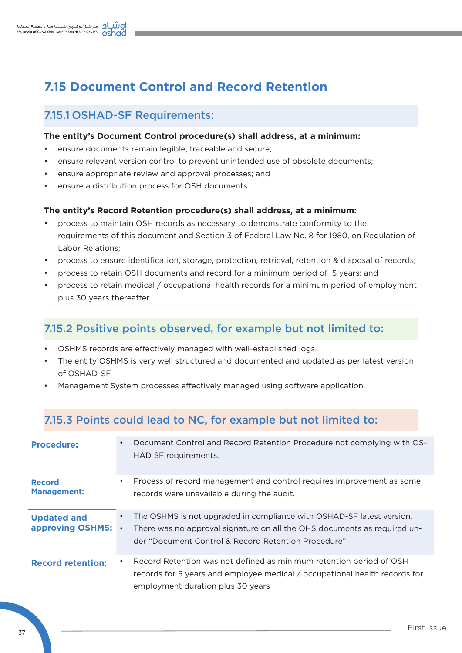## **7.15 Document Control and Record Retention**

### 7.15.1 OSHAD-SF Requirements:

#### **The entity's Document Control procedure(s) shall address, at a minimum:**

- ensure documents remain legible, traceable and secure;
- ensure relevant version control to prevent unintended use of obsolete documents;
- ensure appropriate review and approval processes; and
- ensure a distribution process for OSH documents.

#### **The entity's Record Retention procedure(s) shall address, at a minimum:**

- process to maintain OSH records as necessary to demonstrate conformity to the requirements of this document and Section 3 of Federal Law No. 8 for 1980, on Regulation of Labor Relations;
- process to ensure identification, storage, protection, retrieval, retention & disposal of records;
- process to retain OSH documents and record for a minimum period of 5 years; and
- process to retain medical / occupational health records for a minimum period of employment plus 30 years thereafter.

### 7.15.2 Positive points observed, for example but not limited to:

- OSHMS records are effectively managed with well-established logs.
- The entity OSHMS is very well structured and documented and updated as per latest version of OSHAD-SF
- Management System processes effectively managed using software application.

### 7.15.3 Points could lead to NC, for example but not limited to:

| <b>Procedure:</b>                      | Document Control and Record Retention Procedure not complying with OS-<br>$\bullet$<br>HAD SF requirements.                                                                                                                        |
|----------------------------------------|------------------------------------------------------------------------------------------------------------------------------------------------------------------------------------------------------------------------------------|
| <b>Record</b><br><b>Management:</b>    | Process of record management and control requires improvement as some<br>$\bullet$<br>records were unavailable during the audit.                                                                                                   |
| <b>Updated and</b><br>approving OSHMS: | The OSHMS is not upgraded in compliance with OSHAD-SF latest version.<br>$\bullet$<br>There was no approval signature on all the OHS documents as required un-<br>$\bullet$<br>der "Document Control & Record Retention Procedure" |
| <b>Record retention:</b>               | Record Retention was not defined as minimum retention period of OSH<br>records for 5 years and employee medical / occupational health records for<br>employment duration plus 30 years                                             |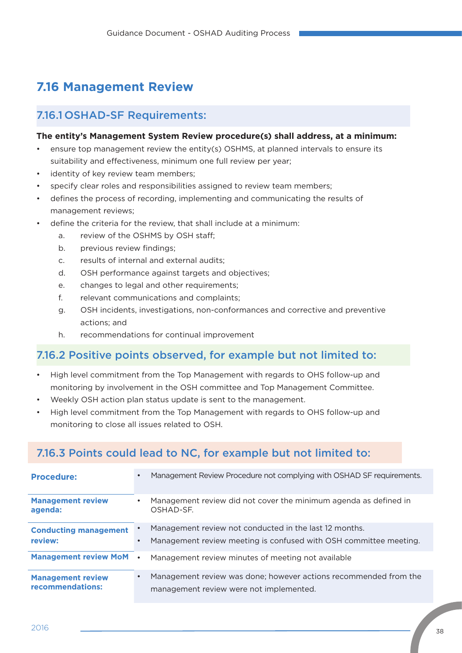## **7.16 Management Review**

### 7.16.1 OSHAD-SF Requirements:

#### **The entity's Management System Review procedure(s) shall address, at a minimum:**

- ensure top management review the entity(s) OSHMS, at planned intervals to ensure its suitability and effectiveness, minimum one full review per year;
- identity of key review team members;
- specify clear roles and responsibilities assigned to review team members;
- defines the process of recording, implementing and communicating the results of management reviews;
- define the criteria for the review, that shall include at a minimum:
	- a. review of the OSHMS by OSH staff;
	- b. previous review findings:
	- c. results of internal and external audits;
	- d. OSH performance against targets and objectives;
	- e. changes to legal and other requirements;
	- f. relevant communications and complaints;
	- g. OSH incidents, investigations, non-conformances and corrective and preventive actions; and
	- h. recommendations for continual improvement

### 7.16.2 Positive points observed, for example but not limited to:

- High level commitment from the Top Management with regards to OHS follow-up and monitoring by involvement in the OSH committee and Top Management Committee.
- Weekly OSH action plan status update is sent to the management.
- High level commitment from the Top Management with regards to OHS follow-up and monitoring to close all issues related to OSH.

#### **Procedure:** • Management Review Procedure not complying with OSHAD SF requirements. **Management review agenda:** • Management review did not cover the minimum agenda as defined in OSHAD-SF. **Conducting management review:** • Management review not conducted in the last 12 months. • Management review meeting is confused with OSH committee meeting. **Management review MoM** • Management review minutes of meeting not available **Management review recommendations:** • Management review was done; however actions recommended from the management review were not implemented.

## 7.16.3 Points could lead to NC, for example but not limited to: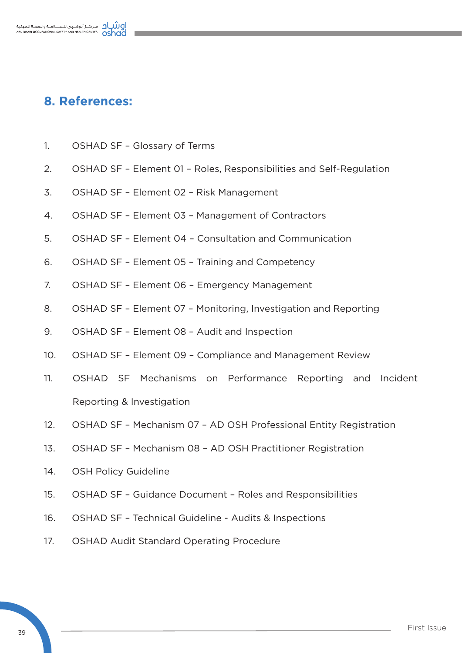## **8. References:**

- 1. OSHAD SF Glossary of Terms
- 2. OSHAD SF Element 01 Roles, Responsibilities and Self-Regulation
- 3. OSHAD SF Element 02 Risk Management
- 4. OSHAD SF Element 03 Management of Contractors
- 5. OSHAD SF Element 04 Consultation and Communication
- 6. OSHAD SF Element 05 Training and Competency
- 7. OSHAD SF Element 06 Emergency Management
- 8. OSHAD SF Element 07 Monitoring, Investigation and Reporting
- 9. OSHAD SF Element 08 Audit and Inspection
- 10. OSHAD SF Element 09 Compliance and Management Review
- 11. OSHAD SF Mechanisms on Performance Reporting and Incident Reporting & Investigation
- 12. OSHAD SF Mechanism 07 AD OSH Professional Entity Registration
- 13. OSHAD SF Mechanism 08 AD OSH Practitioner Registration
- 14. OSH Policy Guideline
- 15. OSHAD SF Guidance Document Roles and Responsibilities
- 16. OSHAD SF Technical Guideline Audits & Inspections
- 17. OSHAD Audit Standard Operating Procedure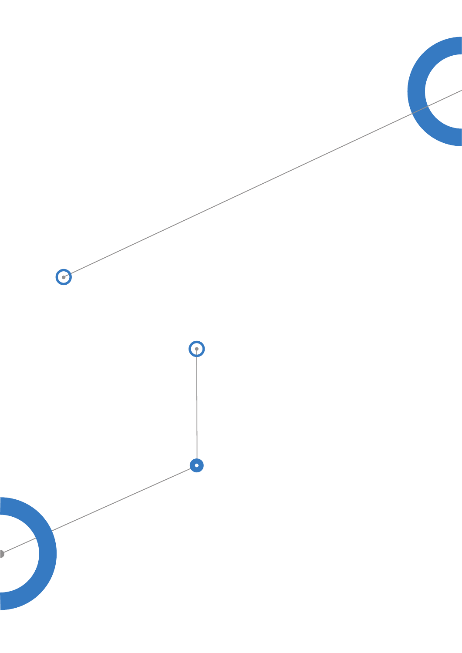